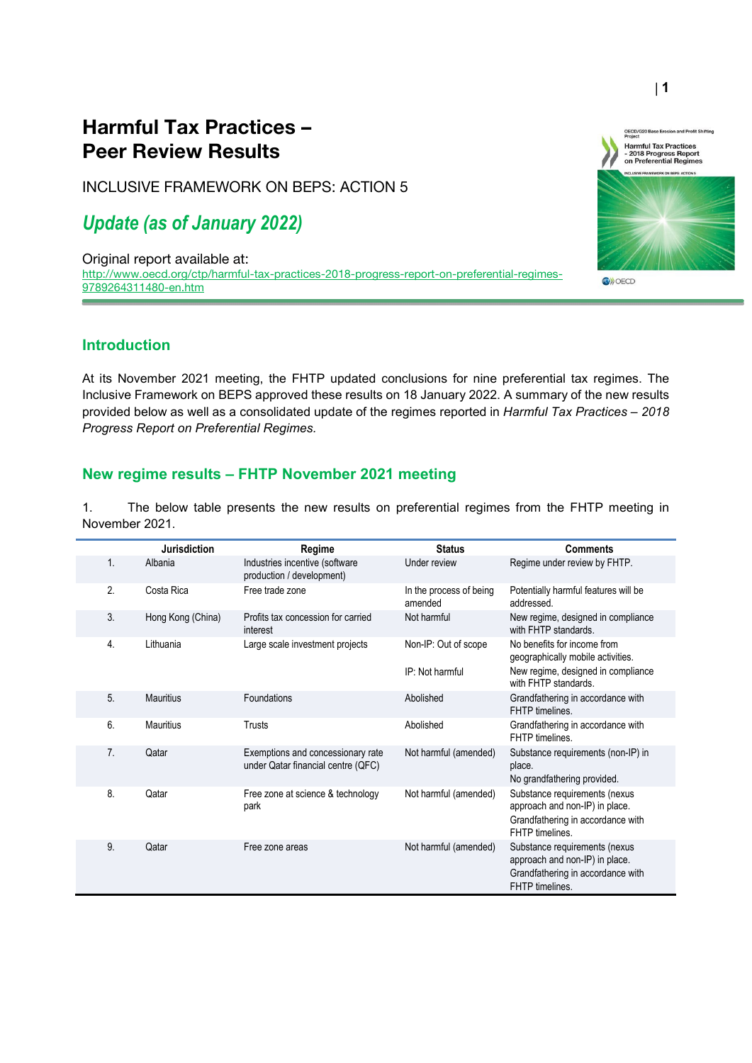## Harmful Tax Practices – Peer Review Results

INCLUSIVE FRAMEWORK ON BEPS: ACTION 5

## *Update (as of January 2022)*

Original report available at: [http://www.oecd.org/ctp/harmful-tax-practices-2018-progress-report-on-preferential-regimes-](http://www.oecd.org/ctp/harmful-tax-practices-2018-progress-report-on-preferential-regimes-9789264311480-en.htm)[9789264311480-en.htm](http://www.oecd.org/ctp/harmful-tax-practices-2018-progress-report-on-preferential-regimes-9789264311480-en.htm)

### **Introduction**

At its November 2021 meeting, the FHTP updated conclusions for nine preferential tax regimes. The Inclusive Framework on BEPS approved these results on 18 January 2022. A summary of the new results provided below as well as a consolidated update of the regimes reported in *Harmful Tax Practices – 2018 Progress Report on Preferential Regimes.*

#### **New regime results – FHTP November 2021 meeting**

1. The below table presents the new results on preferential regimes from the FHTP meeting in November 2021.

|                | <b>Jurisdiction</b> | Regime                                                                  | <b>Status</b>                           | <b>Comments</b>                                                                                                                |
|----------------|---------------------|-------------------------------------------------------------------------|-----------------------------------------|--------------------------------------------------------------------------------------------------------------------------------|
| 1.             | Albania             | Industries incentive (software<br>production / development)             | Under review                            | Regime under review by FHTP.                                                                                                   |
| 2.             | Costa Rica          | Free trade zone                                                         | In the process of being<br>amended      | Potentially harmful features will be<br>addressed.                                                                             |
| 3.             | Hong Kong (China)   | Profits tax concession for carried<br>interest                          | Not harmful                             | New regime, designed in compliance<br>with FHTP standards.                                                                     |
| 4.             | Lithuania           | Large scale investment projects                                         | Non-IP: Out of scope<br>IP: Not harmful | No benefits for income from<br>geographically mobile activities.<br>New regime, designed in compliance<br>with FHTP standards. |
| 5.             | <b>Mauritius</b>    | Foundations                                                             | Abolished                               | Grandfathering in accordance with<br>FHTP timelines.                                                                           |
| 6.             | <b>Mauritius</b>    | Trusts                                                                  | Abolished                               | Grandfathering in accordance with<br>FHTP timelines.                                                                           |
| 7 <sub>1</sub> | Qatar               | Exemptions and concessionary rate<br>under Qatar financial centre (QFC) | Not harmful (amended)                   | Substance requirements (non-IP) in<br>place.<br>No grandfathering provided.                                                    |
| 8.             | Qatar               | Free zone at science & technology<br>park                               | Not harmful (amended)                   | Substance requirements (nexus<br>approach and non-IP) in place.<br>Grandfathering in accordance with<br>FHTP timelines.        |
| 9.             | Qatar               | Free zone areas                                                         | Not harmful (amended)                   | Substance requirements (nexus<br>approach and non-IP) in place.<br>Grandfathering in accordance with<br>FHTP timelines.        |



**O**<sup></sub></sup>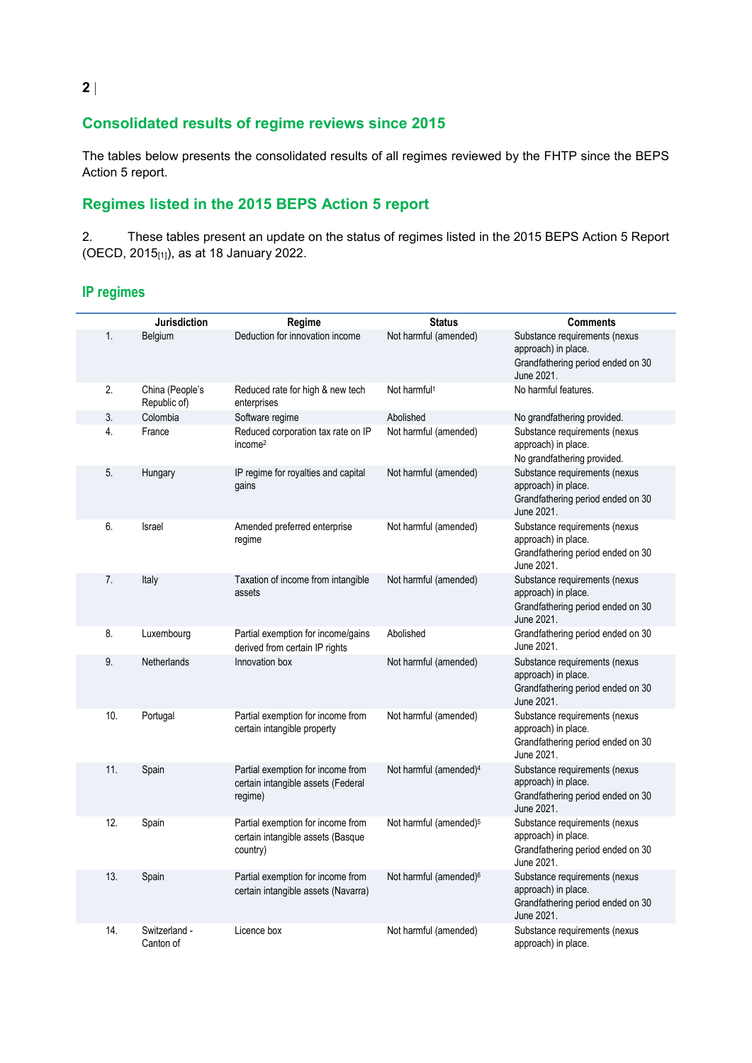## **Consolidated results of regime reviews since 2015**

The tables below presents the consolidated results of all regimes reviewed by the FHTP since the BEPS Action 5 report.

## **Regimes listed in the 2015 BEPS Action 5 report**

2. These tables present an update on the status of regimes listed in the 2015 BEPS Action 5 Report (OECD, 2015[1]), as at 18 January 2022.

### **IP regimes**

|     | Jurisdiction                    | Regime                                                                             | <b>Status</b>                      | <b>Comments</b>                                                                                         |
|-----|---------------------------------|------------------------------------------------------------------------------------|------------------------------------|---------------------------------------------------------------------------------------------------------|
| 1.  | Belgium                         | Deduction for innovation income                                                    | Not harmful (amended)              | Substance requirements (nexus<br>approach) in place.<br>Grandfathering period ended on 30<br>June 2021. |
| 2.  | China (People's<br>Republic of) | Reduced rate for high & new tech<br>enterprises                                    | Not harmful <sup>1</sup>           | No harmful features.                                                                                    |
| 3.  | Colombia                        | Software regime                                                                    | Abolished                          | No grandfathering provided.                                                                             |
| 4.  | France                          | Reduced corporation tax rate on IP<br>income <sup>2</sup>                          | Not harmful (amended)              | Substance requirements (nexus<br>approach) in place.<br>No grandfathering provided.                     |
| 5.  | Hungary                         | IP regime for royalties and capital<br>gains                                       | Not harmful (amended)              | Substance requirements (nexus<br>approach) in place.<br>Grandfathering period ended on 30<br>June 2021. |
| 6.  | Israel                          | Amended preferred enterprise<br>regime                                             | Not harmful (amended)              | Substance requirements (nexus<br>approach) in place.<br>Grandfathering period ended on 30<br>June 2021. |
| 7.  | Italy                           | Taxation of income from intangible<br>assets                                       | Not harmful (amended)              | Substance requirements (nexus<br>approach) in place.<br>Grandfathering period ended on 30<br>June 2021. |
| 8.  | Luxembourg                      | Partial exemption for income/gains<br>derived from certain IP rights               | Abolished                          | Grandfathering period ended on 30<br>June 2021.                                                         |
| 9.  | Netherlands                     | Innovation box                                                                     | Not harmful (amended)              | Substance requirements (nexus<br>approach) in place.<br>Grandfathering period ended on 30<br>June 2021. |
| 10. | Portugal                        | Partial exemption for income from<br>certain intangible property                   | Not harmful (amended)              | Substance requirements (nexus<br>approach) in place.<br>Grandfathering period ended on 30<br>June 2021. |
| 11. | Spain                           | Partial exemption for income from<br>certain intangible assets (Federal<br>regime) | Not harmful (amended) <sup>4</sup> | Substance requirements (nexus<br>approach) in place.<br>Grandfathering period ended on 30<br>June 2021. |
| 12. | Spain                           | Partial exemption for income from<br>certain intangible assets (Basque<br>country) | Not harmful (amended) <sup>5</sup> | Substance requirements (nexus<br>approach) in place.<br>Grandfathering period ended on 30<br>June 2021. |
| 13. | Spain                           | Partial exemption for income from<br>certain intangible assets (Navarra)           | Not harmful (amended) <sup>6</sup> | Substance requirements (nexus<br>approach) in place.<br>Grandfathering period ended on 30<br>June 2021. |
| 14. | Switzerland -<br>Canton of      | Licence box                                                                        | Not harmful (amended)              | Substance requirements (nexus<br>approach) in place.                                                    |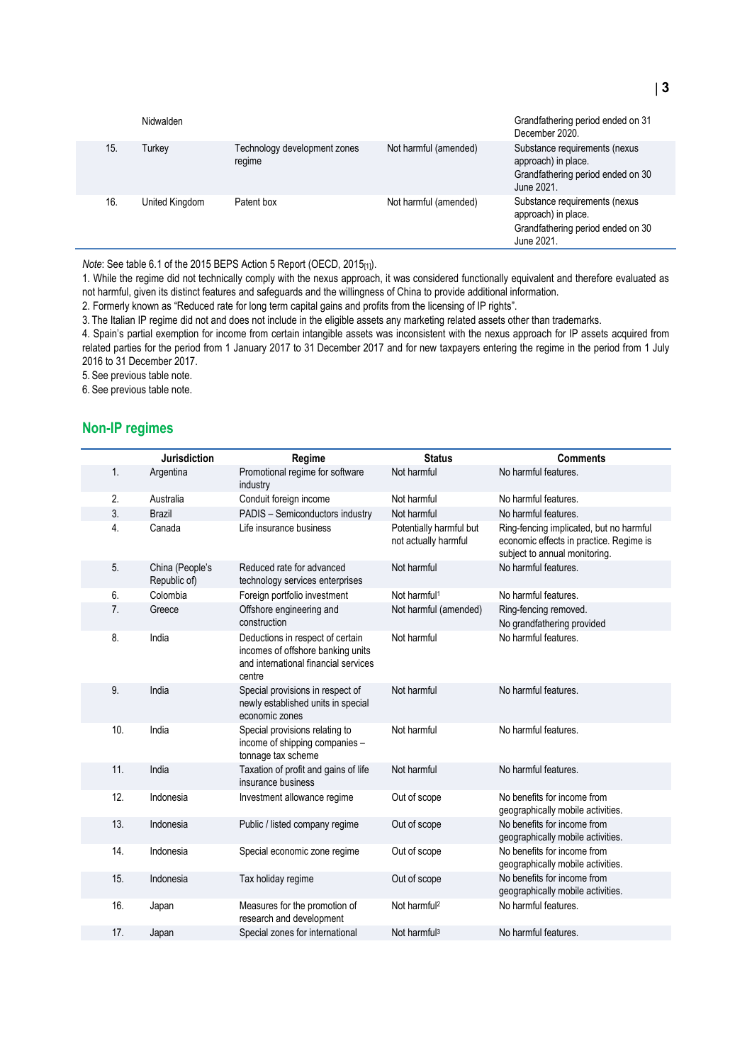|     | Nidwalden      |                                        |                       | Grandfathering period ended on 31<br>December 2020.                                                     |
|-----|----------------|----------------------------------------|-----------------------|---------------------------------------------------------------------------------------------------------|
| 15. | Turkey         | Technology development zones<br>regime | Not harmful (amended) | Substance requirements (nexus<br>approach) in place.<br>Grandfathering period ended on 30<br>June 2021. |
| 16. | United Kingdom | Patent box                             | Not harmful (amended) | Substance requirements (nexus<br>approach) in place.<br>Grandfathering period ended on 30<br>June 2021. |

*Note*: See table 6.1 of the 2015 BEPS Action 5 Report (OECD, 2015[1]).

1. While the regime did not technically comply with the nexus approach, it was considered functionally equivalent and therefore evaluated as not harmful, given its distinct features and safeguards and the willingness of China to provide additional information.

2. Formerly known as "Reduced rate for long term capital gains and profits from the licensing of IP rights".

3. The Italian IP regime did not and does not include in the eligible assets any marketing related assets other than trademarks.

4. Spain's partial exemption for income from certain intangible assets was inconsistent with the nexus approach for IP assets acquired from related parties for the period from 1 January 2017 to 31 December 2017 and for new taxpayers entering the regime in the period from 1 July 2016 to 31 December 2017.

5. See previous table note.

6. See previous table note.

#### **Non-IP regimes**

|                | Jurisdiction                    | Regime                                                                                                                  | <b>Status</b>                                   | <b>Comments</b>                                                                                                     |
|----------------|---------------------------------|-------------------------------------------------------------------------------------------------------------------------|-------------------------------------------------|---------------------------------------------------------------------------------------------------------------------|
| 1.             | Argentina                       | Promotional regime for software<br>industry                                                                             | Not harmful                                     | No harmful features.                                                                                                |
| 2.             | Australia                       | Conduit foreign income                                                                                                  | Not harmful                                     | No harmful features.                                                                                                |
| 3.             | <b>Brazil</b>                   | PADIS - Semiconductors industry                                                                                         | Not harmful                                     | No harmful features.                                                                                                |
| 4.             | Canada                          | Life insurance business                                                                                                 | Potentially harmful but<br>not actually harmful | Ring-fencing implicated, but no harmful<br>economic effects in practice. Regime is<br>subject to annual monitoring. |
| 5.             | China (People's<br>Republic of) | Reduced rate for advanced<br>technology services enterprises                                                            | Not harmful                                     | No harmful features.                                                                                                |
| 6.             | Colombia                        | Foreign portfolio investment                                                                                            | Not harmful <sup>1</sup>                        | No harmful features.                                                                                                |
| 7 <sub>1</sub> | Greece                          | Offshore engineering and<br>construction                                                                                | Not harmful (amended)                           | Ring-fencing removed.<br>No grandfathering provided                                                                 |
| 8.             | India                           | Deductions in respect of certain<br>incomes of offshore banking units<br>and international financial services<br>centre | Not harmful                                     | No harmful features.                                                                                                |
| 9.             | India                           | Special provisions in respect of<br>newly established units in special<br>economic zones                                | Not harmful                                     | No harmful features.                                                                                                |
| 10.            | India                           | Special provisions relating to<br>income of shipping companies -<br>tonnage tax scheme                                  | Not harmful                                     | No harmful features.                                                                                                |
| 11.            | India                           | Taxation of profit and gains of life<br>insurance business                                                              | Not harmful                                     | No harmful features.                                                                                                |
| 12.            | Indonesia                       | Investment allowance regime                                                                                             | Out of scope                                    | No benefits for income from<br>geographically mobile activities.                                                    |
| 13.            | Indonesia                       | Public / listed company regime                                                                                          | Out of scope                                    | No benefits for income from<br>geographically mobile activities.                                                    |
| 14.            | Indonesia                       | Special economic zone regime                                                                                            | Out of scope                                    | No benefits for income from<br>geographically mobile activities.                                                    |
| 15.            | Indonesia                       | Tax holiday regime                                                                                                      | Out of scope                                    | No benefits for income from<br>geographically mobile activities.                                                    |
| 16.            | Japan                           | Measures for the promotion of<br>research and development                                                               | Not harmful <sup>2</sup>                        | No harmful features.                                                                                                |
| 17.            | Japan                           | Special zones for international                                                                                         | Not harmful <sup>3</sup>                        | No harmful features.                                                                                                |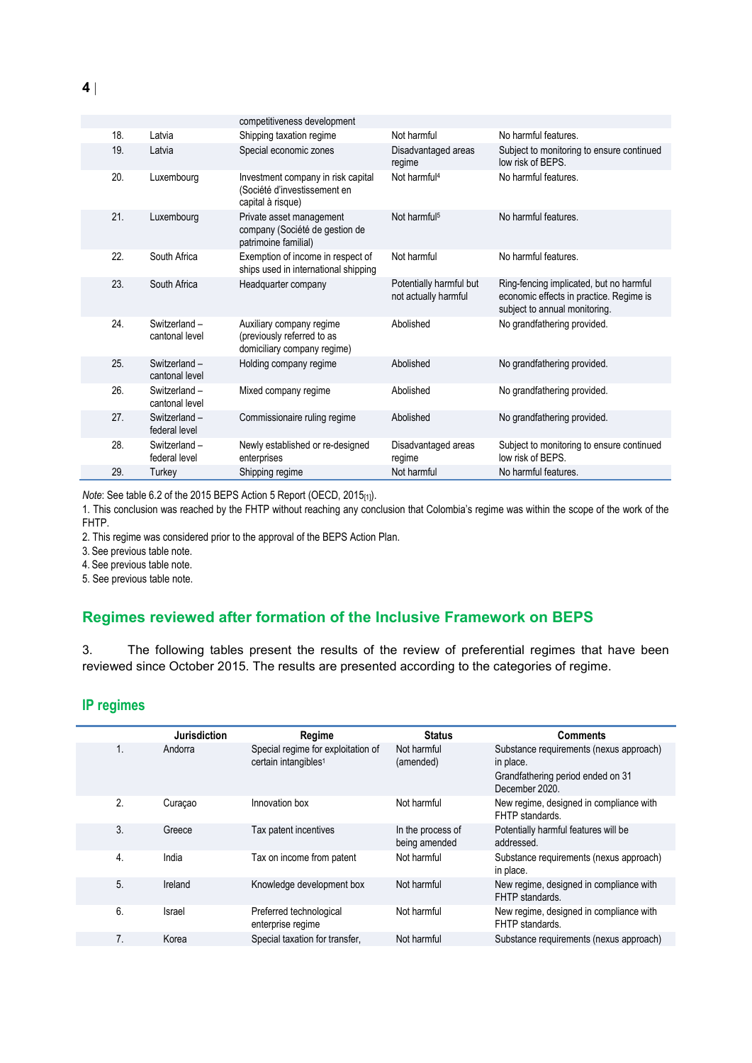|     |                                | competitiveness development                                                             |                                                 |                                                                                                                     |
|-----|--------------------------------|-----------------------------------------------------------------------------------------|-------------------------------------------------|---------------------------------------------------------------------------------------------------------------------|
| 18. | Latvia                         | Shipping taxation regime                                                                | Not harmful                                     | No harmful features.                                                                                                |
| 19. | Latvia                         | Special economic zones                                                                  | Disadvantaged areas<br>regime                   | Subject to monitoring to ensure continued<br>low risk of BEPS.                                                      |
| 20. | Luxembourg                     | Investment company in risk capital<br>(Société d'investissement en<br>capital à risque) | Not harmful <sup>4</sup>                        | No harmful features.                                                                                                |
| 21. | Luxembourg                     | Private asset management<br>company (Société de gestion de<br>patrimoine familial)      | Not harmful <sup>5</sup>                        | No harmful features.                                                                                                |
| 22. | South Africa                   | Exemption of income in respect of<br>ships used in international shipping               | Not harmful                                     | No harmful features.                                                                                                |
| 23. | South Africa                   | Headquarter company                                                                     | Potentially harmful but<br>not actually harmful | Ring-fencing implicated, but no harmful<br>economic effects in practice. Regime is<br>subject to annual monitoring. |
| 24. | Switzerland-<br>cantonal level | Auxiliary company regime<br>(previously referred to as<br>domiciliary company regime)   | Abolished                                       | No grandfathering provided.                                                                                         |
| 25. | Switzerland-<br>cantonal level | Holding company regime                                                                  | Abolished                                       | No grandfathering provided.                                                                                         |
| 26. | Switzerland-<br>cantonal level | Mixed company regime                                                                    | Abolished                                       | No grandfathering provided.                                                                                         |
| 27. | Switzerland-<br>federal level  | Commissionaire ruling regime                                                            | Abolished                                       | No grandfathering provided.                                                                                         |
| 28. | Switzerland -<br>federal level | Newly established or re-designed<br>enterprises                                         | Disadvantaged areas<br>regime                   | Subject to monitoring to ensure continued<br>low risk of BEPS.                                                      |
| 29. | Turkey                         | Shipping regime                                                                         | Not harmful                                     | No harmful features.                                                                                                |
|     |                                |                                                                                         |                                                 |                                                                                                                     |

*Note*: See table 6.2 of the 2015 BEPS Action 5 Report (OECD, 2015[1]).

1. This conclusion was reached by the FHTP without reaching any conclusion that Colombia's regime was within the scope of the work of the FHTP.

2. This regime was considered prior to the approval of the BEPS Action Plan.

3. See previous table note.

4. See previous table note.

5. See previous table note.

## **Regimes reviewed after formation of the Inclusive Framework on BEPS**

3. The following tables present the results of the review of preferential regimes that have been reviewed since October 2015. The results are presented according to the categories of regime.

### **IP regimes**

|    | <b>Jurisdiction</b> | Regime                                                                 | <b>Status</b>                      | Comments                                                                                                    |
|----|---------------------|------------------------------------------------------------------------|------------------------------------|-------------------------------------------------------------------------------------------------------------|
| 1. | Andorra             | Special regime for exploitation of<br>certain intangibles <sup>1</sup> | Not harmful<br>(amended)           | Substance requirements (nexus approach)<br>in place.<br>Grandfathering period ended on 31<br>December 2020. |
| 2. | Curaçao             | Innovation box                                                         | Not harmful                        | New regime, designed in compliance with<br>FHTP standards.                                                  |
| 3. | Greece              | Tax patent incentives                                                  | In the process of<br>being amended | Potentially harmful features will be<br>addressed.                                                          |
| 4. | India               | Tax on income from patent                                              | Not harmful                        | Substance requirements (nexus approach)<br>in place.                                                        |
| 5. | Ireland             | Knowledge development box                                              | Not harmful                        | New regime, designed in compliance with<br>FHTP standards.                                                  |
| 6. | Israel              | Preferred technological<br>enterprise regime                           | Not harmful                        | New regime, designed in compliance with<br>FHTP standards.                                                  |
| 7. | Korea               | Special taxation for transfer,                                         | Not harmful                        | Substance requirements (nexus approach)                                                                     |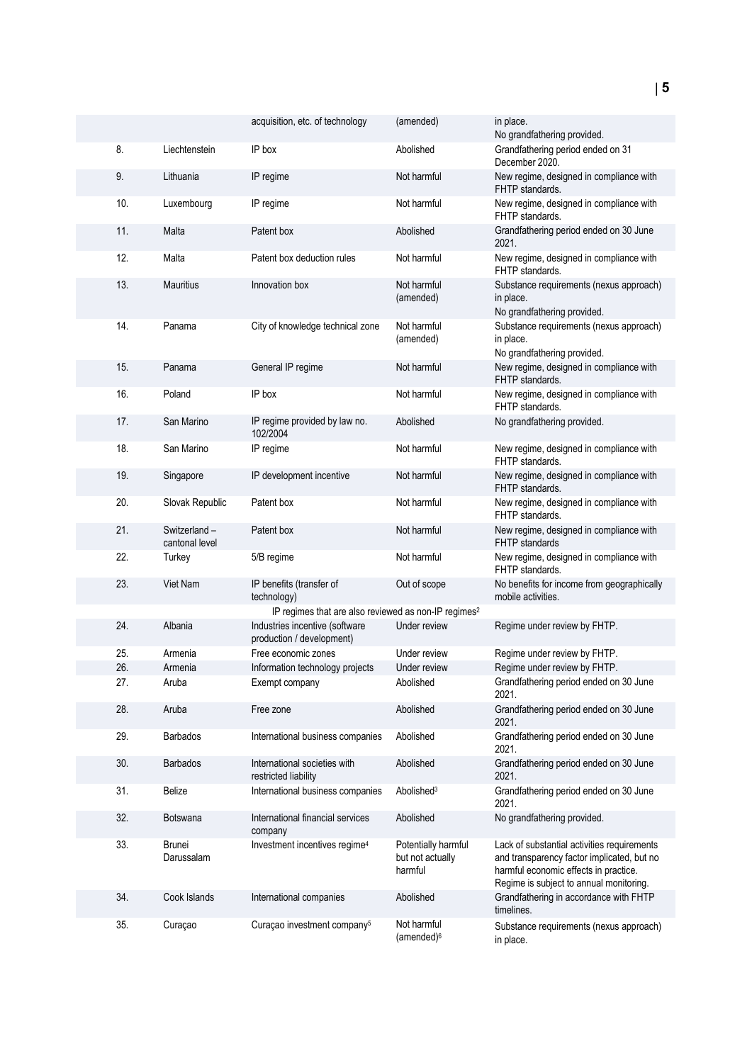|     |                                | acquisition, etc. of technology                                  | (amended)                                          | in place.<br>No grandfathering provided.                                                                                                                                      |
|-----|--------------------------------|------------------------------------------------------------------|----------------------------------------------------|-------------------------------------------------------------------------------------------------------------------------------------------------------------------------------|
| 8.  | Liechtenstein                  | IP box                                                           | Abolished                                          | Grandfathering period ended on 31<br>December 2020.                                                                                                                           |
| 9.  | Lithuania                      | IP regime                                                        | Not harmful                                        | New regime, designed in compliance with<br>FHTP standards.                                                                                                                    |
| 10. | Luxembourg                     | IP regime                                                        | Not harmful                                        | New regime, designed in compliance with<br>FHTP standards.                                                                                                                    |
| 11. | Malta                          | Patent box                                                       | Abolished                                          | Grandfathering period ended on 30 June<br>2021.                                                                                                                               |
| 12. | Malta                          | Patent box deduction rules                                       | Not harmful                                        | New regime, designed in compliance with<br>FHTP standards.                                                                                                                    |
| 13. | <b>Mauritius</b>               | Innovation box                                                   | Not harmful<br>(amended)                           | Substance requirements (nexus approach)<br>in place.<br>No grandfathering provided.                                                                                           |
| 14. | Panama                         | City of knowledge technical zone                                 | Not harmful<br>(amended)                           | Substance requirements (nexus approach)<br>in place.<br>No grandfathering provided.                                                                                           |
| 15. | Panama                         | General IP regime                                                | Not harmful                                        | New regime, designed in compliance with<br>FHTP standards.                                                                                                                    |
| 16. | Poland                         | IP box                                                           | Not harmful                                        | New regime, designed in compliance with<br>FHTP standards.                                                                                                                    |
| 17. | San Marino                     | IP regime provided by law no.<br>102/2004                        | Abolished                                          | No grandfathering provided.                                                                                                                                                   |
| 18. | San Marino                     | IP regime                                                        | Not harmful                                        | New regime, designed in compliance with<br>FHTP standards.                                                                                                                    |
| 19. | Singapore                      | IP development incentive                                         | Not harmful                                        | New regime, designed in compliance with<br>FHTP standards.                                                                                                                    |
| 20. | Slovak Republic                | Patent box                                                       | Not harmful                                        | New regime, designed in compliance with<br>FHTP standards.                                                                                                                    |
| 21. | Switzerland-<br>cantonal level | Patent box                                                       | Not harmful                                        | New regime, designed in compliance with<br><b>FHTP</b> standards                                                                                                              |
| 22. | Turkey                         | 5/B regime                                                       | Not harmful                                        | New regime, designed in compliance with<br>FHTP standards.                                                                                                                    |
| 23. | <b>Viet Nam</b>                | IP benefits (transfer of<br>technology)                          | Out of scope                                       | No benefits for income from geographically<br>mobile activities.                                                                                                              |
|     |                                | IP regimes that are also reviewed as non-IP regimes <sup>2</sup> |                                                    |                                                                                                                                                                               |
| 24. | Albania                        | Industries incentive (software<br>production / development)      | Under review                                       | Regime under review by FHTP.                                                                                                                                                  |
| 25. | Armenia                        | Free economic zones                                              | Under review                                       | Regime under review by FHTP.                                                                                                                                                  |
| 26. | Armenia                        | Information technology projects                                  | Under review                                       | Regime under review by FHTP.                                                                                                                                                  |
| 27. | Aruba                          | Exempt company                                                   | Abolished                                          | Grandfathering period ended on 30 June<br>2021.                                                                                                                               |
| 28. | Aruba                          | Free zone                                                        | Abolished                                          | Grandfathering period ended on 30 June<br>2021.                                                                                                                               |
| 29. | <b>Barbados</b>                | International business companies                                 | Abolished                                          | Grandfathering period ended on 30 June<br>2021.                                                                                                                               |
| 30. | <b>Barbados</b>                | International societies with<br>restricted liability             | Abolished                                          | Grandfathering period ended on 30 June<br>2021.                                                                                                                               |
| 31. | <b>Belize</b>                  | International business companies                                 | Abolished <sup>3</sup>                             | Grandfathering period ended on 30 June<br>2021.                                                                                                                               |
| 32. | <b>Botswana</b>                | International financial services<br>company                      | Abolished                                          | No grandfathering provided.                                                                                                                                                   |
| 33. | <b>Brunei</b><br>Darussalam    | Investment incentives regime <sup>4</sup>                        | Potentially harmful<br>but not actually<br>harmful | Lack of substantial activities requirements<br>and transparency factor implicated, but no<br>harmful economic effects in practice.<br>Regime is subject to annual monitoring. |
| 34. | Cook Islands                   | International companies                                          | Abolished                                          | Grandfathering in accordance with FHTP<br>timelines.                                                                                                                          |
| 35. | Curaçao                        | Curaçao investment company <sup>5</sup>                          | Not harmful<br>(amended) <sup>6</sup>              | Substance requirements (nexus approach)<br>in place.                                                                                                                          |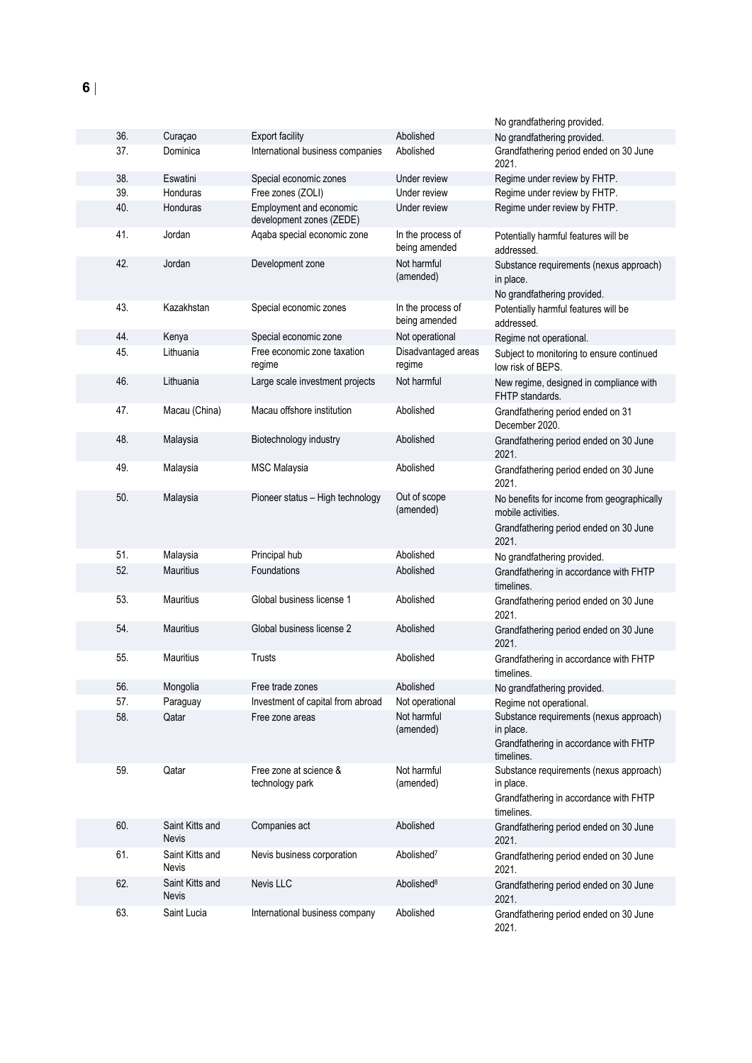|            |                                 |                                                                          |                                    | No grandfathering provided.                                                                                         |
|------------|---------------------------------|--------------------------------------------------------------------------|------------------------------------|---------------------------------------------------------------------------------------------------------------------|
| 36.        | Curaçao                         | <b>Export facility</b>                                                   | Abolished                          | No grandfathering provided.                                                                                         |
| 37.        | Dominica                        | International business companies                                         | Abolished                          | Grandfathering period ended on 30 June<br>2021.                                                                     |
| 38.        | Eswatini                        | Special economic zones                                                   | Under review                       | Regime under review by FHTP.                                                                                        |
| 39.<br>40. | Honduras<br>Honduras            | Free zones (ZOLI)<br>Employment and economic<br>development zones (ZEDE) | Under review<br>Under review       | Regime under review by FHTP.<br>Regime under review by FHTP.                                                        |
| 41.        | Jordan                          | Aqaba special economic zone                                              | In the process of<br>being amended | Potentially harmful features will be<br>addressed.                                                                  |
| 42.        | Jordan                          | Development zone                                                         | Not harmful<br>(amended)           | Substance requirements (nexus approach)<br>in place.<br>No grandfathering provided.                                 |
| 43.        | Kazakhstan                      | Special economic zones                                                   | In the process of<br>being amended | Potentially harmful features will be<br>addressed.                                                                  |
| 44.        | Kenya                           | Special economic zone                                                    | Not operational                    | Regime not operational.                                                                                             |
| 45.        | Lithuania                       | Free economic zone taxation<br>regime                                    | Disadvantaged areas<br>regime      | Subject to monitoring to ensure continued<br>low risk of BEPS.                                                      |
| 46.        | Lithuania                       | Large scale investment projects                                          | Not harmful                        | New regime, designed in compliance with<br>FHTP standards.                                                          |
| 47.        | Macau (China)                   | Macau offshore institution                                               | Abolished                          | Grandfathering period ended on 31<br>December 2020.                                                                 |
| 48.        | Malaysia                        | Biotechnology industry                                                   | Abolished                          | Grandfathering period ended on 30 June<br>2021.                                                                     |
| 49.        | Malaysia                        | <b>MSC Malaysia</b>                                                      | Abolished                          | Grandfathering period ended on 30 June<br>2021.                                                                     |
| 50.        | Malaysia                        | Pioneer status - High technology                                         | Out of scope<br>(amended)          | No benefits for income from geographically<br>mobile activities.<br>Grandfathering period ended on 30 June<br>2021. |
| 51.        | Malaysia                        | Principal hub                                                            | Abolished                          | No grandfathering provided.                                                                                         |
| 52.        | <b>Mauritius</b>                | Foundations                                                              | Abolished                          | Grandfathering in accordance with FHTP                                                                              |
| 53.        | <b>Mauritius</b>                | Global business license 1                                                | Abolished                          | timelines.                                                                                                          |
|            |                                 |                                                                          |                                    | Grandfathering period ended on 30 June<br>2021.                                                                     |
| 54.        | <b>Mauritius</b>                | Global business license 2                                                | Abolished                          | Grandfathering period ended on 30 June<br>2021.                                                                     |
| 55.        | <b>Mauritius</b>                | Trusts                                                                   | Abolished                          | Grandfathering in accordance with FHTP<br>timelines.                                                                |
| 56.        | Mongolia                        | Free trade zones                                                         | Abolished                          | No grandfathering provided.                                                                                         |
| 57.        | Paraguay                        | Investment of capital from abroad                                        | Not operational                    | Regime not operational.                                                                                             |
| 58.        | Qatar                           | Free zone areas                                                          | Not harmful<br>(amended)           | Substance requirements (nexus approach)<br>in place.<br>Grandfathering in accordance with FHTP<br>timelines.        |
| 59.        | Qatar                           | Free zone at science &<br>technology park                                | Not harmful<br>(amended)           | Substance requirements (nexus approach)<br>in place.<br>Grandfathering in accordance with FHTP<br>timelines.        |
| 60.        | Saint Kitts and<br><b>Nevis</b> | Companies act                                                            | Abolished                          | Grandfathering period ended on 30 June<br>2021.                                                                     |
| 61.        | Saint Kitts and<br><b>Nevis</b> | Nevis business corporation                                               | Abolished <sup>7</sup>             | Grandfathering period ended on 30 June<br>2021.                                                                     |
| 62.        | Saint Kitts and<br><b>Nevis</b> | Nevis LLC                                                                | Abolished <sup>8</sup>             | Grandfathering period ended on 30 June<br>2021.                                                                     |
| 63.        | Saint Lucia                     | International business company                                           | Abolished                          | Grandfathering period ended on 30 June<br>2021.                                                                     |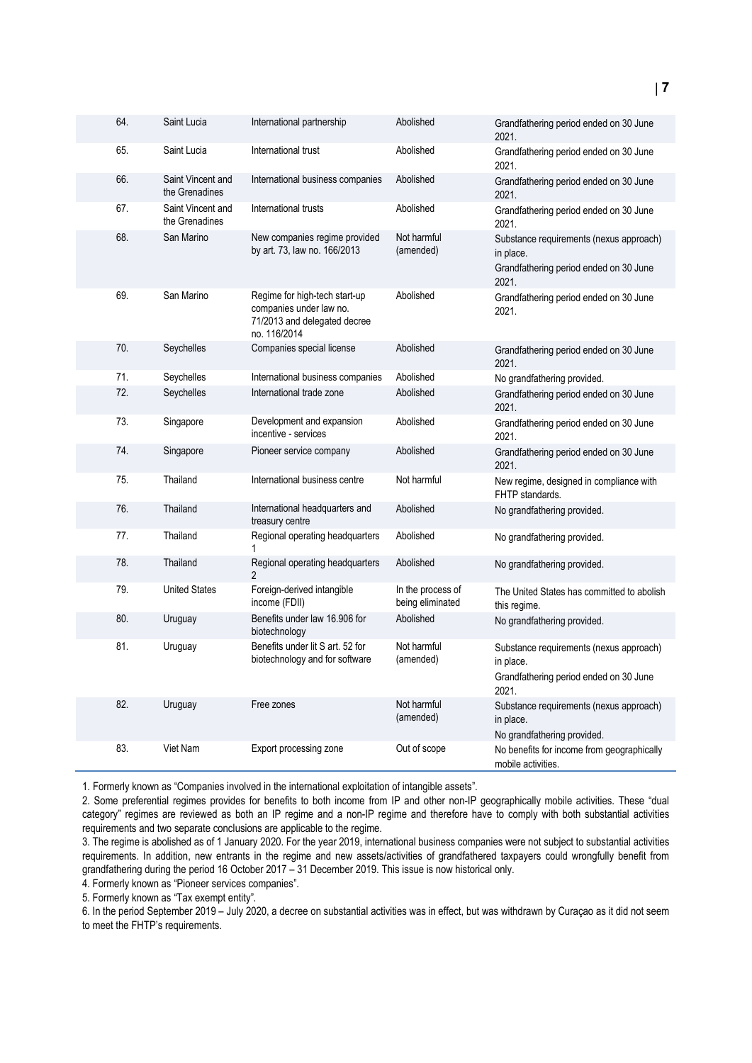| 64. | Saint Lucia                         | International partnership                                                                                | Abolished                             | Grandfathering period ended on 30 June<br>2021.                                                         |
|-----|-------------------------------------|----------------------------------------------------------------------------------------------------------|---------------------------------------|---------------------------------------------------------------------------------------------------------|
| 65. | Saint Lucia                         | International trust                                                                                      | Abolished                             | Grandfathering period ended on 30 June<br>2021.                                                         |
| 66. | Saint Vincent and<br>the Grenadines | International business companies                                                                         | Abolished                             | Grandfathering period ended on 30 June<br>2021.                                                         |
| 67. | Saint Vincent and<br>the Grenadines | International trusts                                                                                     | Abolished                             | Grandfathering period ended on 30 June<br>2021.                                                         |
| 68. | San Marino                          | New companies regime provided<br>by art. 73, law no. 166/2013                                            | Not harmful<br>(amended)              | Substance requirements (nexus approach)<br>in place.<br>Grandfathering period ended on 30 June<br>2021. |
| 69. | San Marino                          | Regime for high-tech start-up<br>companies under law no.<br>71/2013 and delegated decree<br>no. 116/2014 | Abolished                             | Grandfathering period ended on 30 June<br>2021.                                                         |
| 70. | Seychelles                          | Companies special license                                                                                | Abolished                             | Grandfathering period ended on 30 June<br>2021.                                                         |
| 71. | Seychelles                          | International business companies                                                                         | Abolished                             | No grandfathering provided.                                                                             |
| 72. | Seychelles                          | International trade zone                                                                                 | Abolished                             | Grandfathering period ended on 30 June<br>2021.                                                         |
| 73. | Singapore                           | Development and expansion<br>incentive - services                                                        | Abolished                             | Grandfathering period ended on 30 June<br>2021.                                                         |
| 74. | Singapore                           | Pioneer service company                                                                                  | Abolished                             | Grandfathering period ended on 30 June<br>2021.                                                         |
| 75. | Thailand                            | International business centre                                                                            | Not harmful                           | New regime, designed in compliance with<br>FHTP standards.                                              |
| 76. | Thailand                            | International headquarters and<br>treasury centre                                                        | Abolished                             | No grandfathering provided.                                                                             |
| 77. | Thailand                            | Regional operating headquarters<br>1                                                                     | Abolished                             | No grandfathering provided.                                                                             |
| 78. | Thailand                            | Regional operating headquarters<br>2                                                                     | Abolished                             | No grandfathering provided.                                                                             |
| 79. | <b>United States</b>                | Foreign-derived intangible<br>income (FDII)                                                              | In the process of<br>being eliminated | The United States has committed to abolish<br>this regime.                                              |
| 80. | Uruguay                             | Benefits under law 16.906 for<br>biotechnology                                                           | Abolished                             | No grandfathering provided.                                                                             |
| 81. | Uruguay                             | Benefits under lit S art. 52 for<br>biotechnology and for software                                       | Not harmful<br>(amended)              | Substance requirements (nexus approach)<br>in place.<br>Grandfathering period ended on 30 June<br>2021. |
| 82. | Uruguay                             | Free zones                                                                                               | Not harmful<br>(amended)              | Substance requirements (nexus approach)<br>in place.<br>No grandfathering provided.                     |
| 83. | Viet Nam                            | Export processing zone                                                                                   | Out of scope                          | No benefits for income from geographically<br>mobile activities.                                        |

1. Formerly known as "Companies involved in the international exploitation of intangible assets".

2. Some preferential regimes provides for benefits to both income from IP and other non-IP geographically mobile activities. These "dual category" regimes are reviewed as both an IP regime and a non-IP regime and therefore have to comply with both substantial activities requirements and two separate conclusions are applicable to the regime.

3. The regime is abolished as of 1 January 2020. For the year 2019, international business companies were not subject to substantial activities requirements. In addition, new entrants in the regime and new assets/activities of grandfathered taxpayers could wrongfully benefit from grandfathering during the period 16 October 2017 – 31 December 2019. This issue is now historical only.

4. Formerly known as "Pioneer services companies".

5. Formerly known as "Tax exempt entity".

6. In the period September 2019 – July 2020, a decree on substantial activities was in effect, but was withdrawn by Curaçao as it did not seem to meet the FHTP's requirements.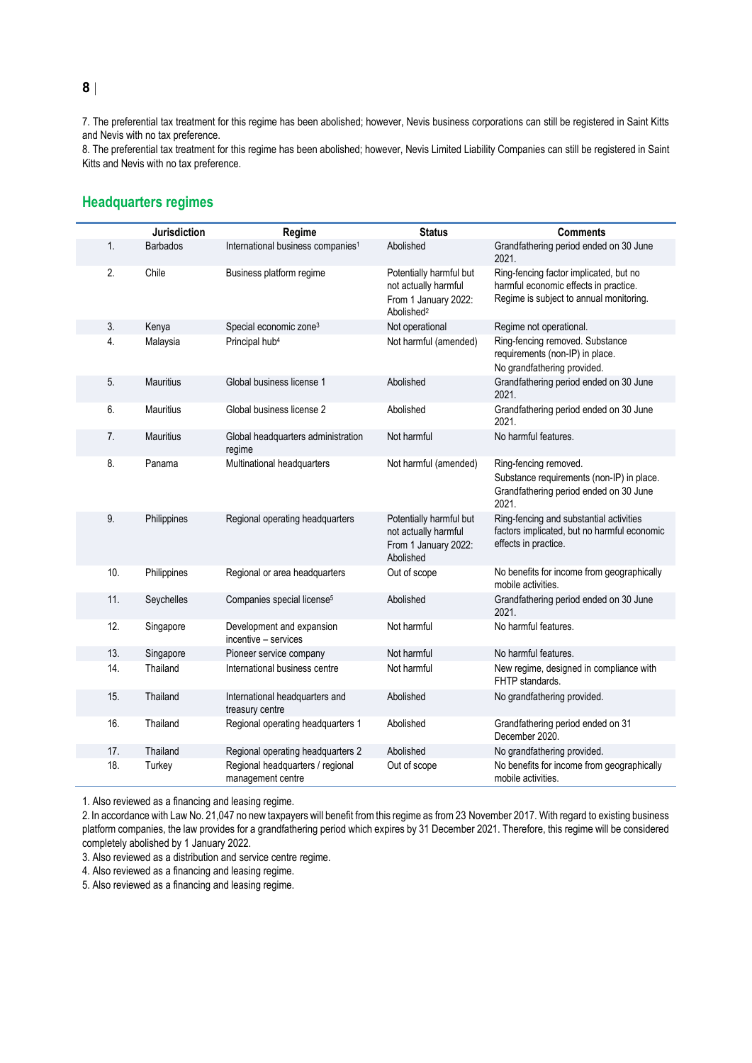7. The preferential tax treatment for this regime has been abolished; however, Nevis business corporations can still be registered in Saint Kitts and Nevis with no tax preference.

8. The preferential tax treatment for this regime has been abolished; however, Nevis Limited Liability Companies can still be registered in Saint Kitts and Nevis with no tax preference.

### **Headquarters regimes**

|     | <b>Jurisdiction</b> | Regime                                                | <b>Status</b>                                                                                     | <b>Comments</b>                                                                                                            |
|-----|---------------------|-------------------------------------------------------|---------------------------------------------------------------------------------------------------|----------------------------------------------------------------------------------------------------------------------------|
| 1.  | <b>Barbados</b>     | International business companies <sup>1</sup>         | Abolished                                                                                         | Grandfathering period ended on 30 June<br>2021.                                                                            |
| 2.  | Chile               | Business platform regime                              | Potentially harmful but<br>not actually harmful<br>From 1 January 2022:<br>Abolished <sup>2</sup> | Ring-fencing factor implicated, but no<br>harmful economic effects in practice.<br>Regime is subject to annual monitoring. |
| 3.  | Kenya               | Special economic zone <sup>3</sup>                    | Not operational                                                                                   | Regime not operational.                                                                                                    |
| 4.  | Malaysia            | Principal hub <sup>4</sup>                            | Not harmful (amended)                                                                             | Ring-fencing removed. Substance<br>requirements (non-IP) in place.<br>No grandfathering provided.                          |
| 5.  | <b>Mauritius</b>    | Global business license 1                             | Abolished                                                                                         | Grandfathering period ended on 30 June<br>2021.                                                                            |
| 6.  | <b>Mauritius</b>    | Global business license 2                             | Abolished                                                                                         | Grandfathering period ended on 30 June<br>2021.                                                                            |
| 7.  | <b>Mauritius</b>    | Global headquarters administration<br>regime          | Not harmful                                                                                       | No harmful features.                                                                                                       |
| 8.  | Panama              | Multinational headquarters                            | Not harmful (amended)                                                                             | Ring-fencing removed.<br>Substance requirements (non-IP) in place.<br>Grandfathering period ended on 30 June<br>2021.      |
| 9.  | Philippines         | Regional operating headquarters                       | Potentially harmful but<br>not actually harmful<br>From 1 January 2022:<br>Abolished              | Ring-fencing and substantial activities<br>factors implicated, but no harmful economic<br>effects in practice.             |
| 10. | Philippines         | Regional or area headquarters                         | Out of scope                                                                                      | No benefits for income from geographically<br>mobile activities.                                                           |
| 11. | Seychelles          | Companies special license <sup>5</sup>                | Abolished                                                                                         | Grandfathering period ended on 30 June<br>2021.                                                                            |
| 12. | Singapore           | Development and expansion<br>incentive - services     | Not harmful                                                                                       | No harmful features.                                                                                                       |
| 13. | Singapore           | Pioneer service company                               | Not harmful                                                                                       | No harmful features.                                                                                                       |
| 14. | Thailand            | International business centre                         | Not harmful                                                                                       | New regime, designed in compliance with<br>FHTP standards.                                                                 |
| 15. | Thailand            | International headquarters and<br>treasury centre     | Abolished                                                                                         | No grandfathering provided.                                                                                                |
| 16. | Thailand            | Regional operating headquarters 1                     | Abolished                                                                                         | Grandfathering period ended on 31<br>December 2020.                                                                        |
| 17. | Thailand            | Regional operating headquarters 2                     | Abolished                                                                                         | No grandfathering provided.                                                                                                |
| 18. | Turkey              | Regional headquarters / regional<br>management centre | Out of scope                                                                                      | No benefits for income from geographically<br>mobile activities.                                                           |

1. Also reviewed as a financing and leasing regime.

2. In accordance with Law No. 21,047 no new taxpayers will benefit from this regime as from 23 November 2017. With regard to existing business platform companies, the law provides for a grandfathering period which expires by 31 December 2021. Therefore, this regime will be considered completely abolished by 1 January 2022.

3. Also reviewed as a distribution and service centre regime.

4. Also reviewed as a financing and leasing regime.

5. Also reviewed as a financing and leasing regime.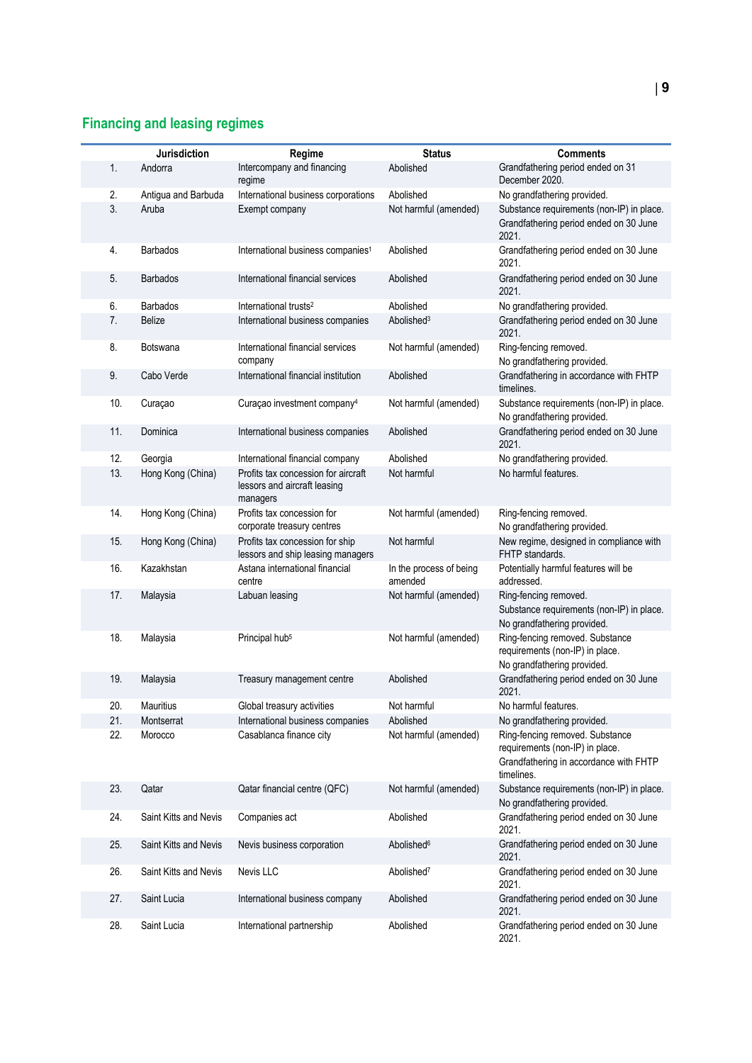## **Financing and leasing regimes**

|     | Jurisdiction          | Regime                                                                          | <b>Status</b>                      | <b>Comments</b>                                                                                                            |
|-----|-----------------------|---------------------------------------------------------------------------------|------------------------------------|----------------------------------------------------------------------------------------------------------------------------|
| 1.  | Andorra               | Intercompany and financing<br>regime                                            | Abolished                          | Grandfathering period ended on 31<br>December 2020.                                                                        |
| 2.  | Antigua and Barbuda   | International business corporations                                             | Abolished                          | No grandfathering provided.                                                                                                |
| 3.  | Aruba                 | Exempt company                                                                  | Not harmful (amended)              | Substance requirements (non-IP) in place.<br>Grandfathering period ended on 30 June<br>2021.                               |
| 4.  | <b>Barbados</b>       | International business companies <sup>1</sup>                                   | Abolished                          | Grandfathering period ended on 30 June<br>2021.                                                                            |
| 5.  | <b>Barbados</b>       | International financial services                                                | Abolished                          | Grandfathering period ended on 30 June<br>2021.                                                                            |
| 6.  | <b>Barbados</b>       | International trusts <sup>2</sup>                                               | Abolished                          | No grandfathering provided.                                                                                                |
| 7.  | <b>Belize</b>         | International business companies                                                | Abolished <sup>3</sup>             | Grandfathering period ended on 30 June<br>2021.                                                                            |
| 8.  | Botswana              | International financial services<br>company                                     | Not harmful (amended)              | Ring-fencing removed.<br>No grandfathering provided.                                                                       |
| 9.  | Cabo Verde            | International financial institution                                             | Abolished                          | Grandfathering in accordance with FHTP<br>timelines.                                                                       |
| 10. | Curaçao               | Curaçao investment company <sup>4</sup>                                         | Not harmful (amended)              | Substance requirements (non-IP) in place.<br>No grandfathering provided.                                                   |
| 11. | Dominica              | International business companies                                                | Abolished                          | Grandfathering period ended on 30 June<br>2021.                                                                            |
| 12. | Georgia               | International financial company                                                 | Abolished                          | No grandfathering provided.                                                                                                |
| 13. | Hong Kong (China)     | Profits tax concession for aircraft<br>lessors and aircraft leasing<br>managers | Not harmful                        | No harmful features.                                                                                                       |
| 14. | Hong Kong (China)     | Profits tax concession for<br>corporate treasury centres                        | Not harmful (amended)              | Ring-fencing removed.<br>No grandfathering provided.                                                                       |
| 15. | Hong Kong (China)     | Profits tax concession for ship<br>lessors and ship leasing managers            | Not harmful                        | New regime, designed in compliance with<br>FHTP standards.                                                                 |
| 16. | Kazakhstan            | Astana international financial<br>centre                                        | In the process of being<br>amended | Potentially harmful features will be<br>addressed.                                                                         |
| 17. | Malaysia              | Labuan leasing                                                                  | Not harmful (amended)              | Ring-fencing removed.<br>Substance requirements (non-IP) in place.<br>No grandfathering provided.                          |
| 18. | Malaysia              | Principal hub <sup>5</sup>                                                      | Not harmful (amended)              | Ring-fencing removed. Substance<br>requirements (non-IP) in place.<br>No grandfathering provided.                          |
| 19. | Malaysia              | Treasury management centre                                                      | Abolished                          | Grandfathering period ended on 30 June<br>2021.                                                                            |
| 20. | Mauritius             | Global treasury activities                                                      | Not harmful                        | No harmful features                                                                                                        |
| 21. | Montserrat            | International business companies                                                | Abolished                          | No grandfathering provided.                                                                                                |
| 22. | Morocco               | Casablanca finance city                                                         | Not harmful (amended)              | Ring-fencing removed. Substance<br>requirements (non-IP) in place.<br>Grandfathering in accordance with FHTP<br>timelines. |
| 23. | Qatar                 | Qatar financial centre (QFC)                                                    | Not harmful (amended)              | Substance requirements (non-IP) in place.<br>No grandfathering provided.                                                   |
| 24. | Saint Kitts and Nevis | Companies act                                                                   | Abolished                          | Grandfathering period ended on 30 June<br>2021.                                                                            |
| 25. | Saint Kitts and Nevis | Nevis business corporation                                                      | Abolished <sup>6</sup>             | Grandfathering period ended on 30 June<br>2021.                                                                            |
| 26. | Saint Kitts and Nevis | Nevis LLC                                                                       | Abolished <sup>7</sup>             | Grandfathering period ended on 30 June<br>2021.                                                                            |
| 27. | Saint Lucia           | International business company                                                  | Abolished                          | Grandfathering period ended on 30 June<br>2021.                                                                            |
| 28. | Saint Lucia           | International partnership                                                       | Abolished                          | Grandfathering period ended on 30 June<br>2021.                                                                            |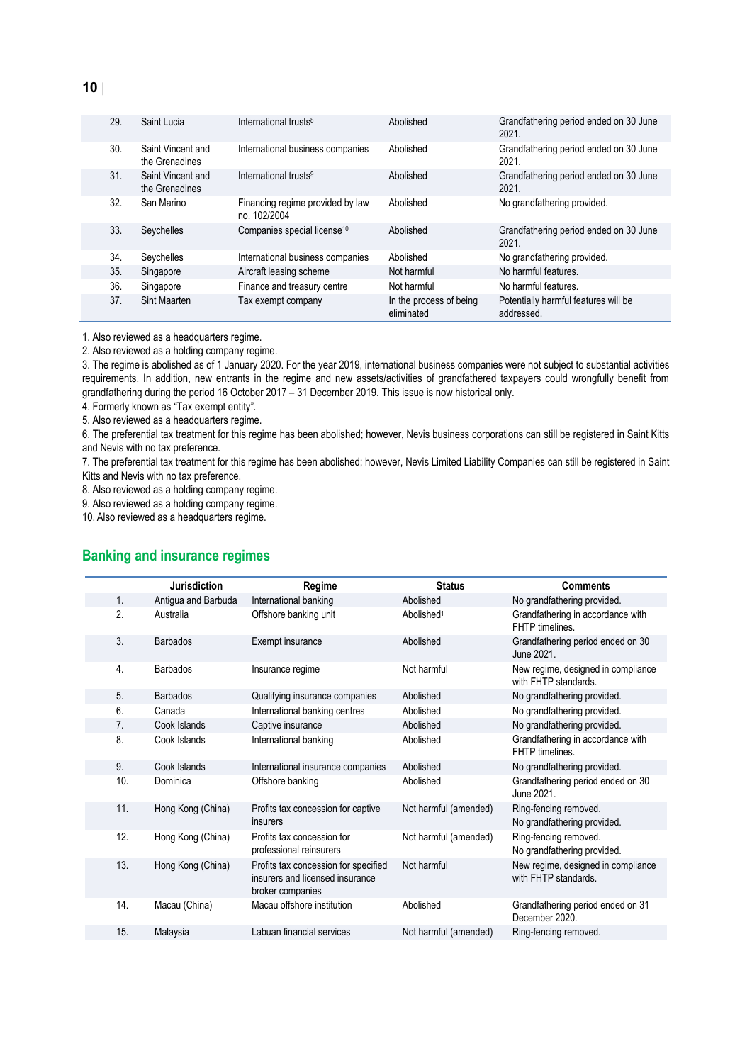| 29. | Saint Lucia                         | International trusts <sup>8</sup>                | Abolished                             | Grandfathering period ended on 30 June<br>2021.    |
|-----|-------------------------------------|--------------------------------------------------|---------------------------------------|----------------------------------------------------|
| 30. | Saint Vincent and<br>the Grenadines | International business companies                 | Abolished                             | Grandfathering period ended on 30 June<br>2021.    |
| 31. | Saint Vincent and<br>the Grenadines | International trusts <sup>9</sup>                | Abolished                             | Grandfathering period ended on 30 June<br>2021.    |
| 32. | San Marino                          | Financing regime provided by law<br>no. 102/2004 | Abolished                             | No grandfathering provided.                        |
| 33. | Seychelles                          | Companies special license <sup>10</sup>          | Abolished                             | Grandfathering period ended on 30 June<br>2021.    |
| 34. | Seychelles                          | International business companies                 | Abolished                             | No grandfathering provided.                        |
| 35. | Singapore                           | Aircraft leasing scheme                          | Not harmful                           | No harmful features.                               |
| 36. | Singapore                           | Finance and treasury centre                      | Not harmful                           | No harmful features.                               |
| 37. | Sint Maarten                        | Tax exempt company                               | In the process of being<br>eliminated | Potentially harmful features will be<br>addressed. |

1. Also reviewed as a headquarters regime.

2. Also reviewed as a holding company regime.

3. The regime is abolished as of 1 January 2020. For the year 2019, international business companies were not subject to substantial activities requirements. In addition, new entrants in the regime and new assets/activities of grandfathered taxpayers could wrongfully benefit from grandfathering during the period 16 October 2017 – 31 December 2019. This issue is now historical only.

4. Formerly known as "Tax exempt entity".

5. Also reviewed as a headquarters regime.

6. The preferential tax treatment for this regime has been abolished; however, Nevis business corporations can still be registered in Saint Kitts and Nevis with no tax preference.

7. The preferential tax treatment for this regime has been abolished; however, Nevis Limited Liability Companies can still be registered in Saint Kitts and Nevis with no tax preference.

8. Also reviewed as a holding company regime.

9. Also reviewed as a holding company regime.

10. Also reviewed as a headquarters regime.

#### **Banking and insurance regimes**

|                  |     | Jurisdiction        | Regime                                                                                      | <b>Status</b>          | <b>Comments</b>                                            |
|------------------|-----|---------------------|---------------------------------------------------------------------------------------------|------------------------|------------------------------------------------------------|
| 1.               |     | Antigua and Barbuda | International banking                                                                       | Abolished              | No grandfathering provided.                                |
| 2.               |     | Australia           | Offshore banking unit                                                                       | Abolished <sup>1</sup> | Grandfathering in accordance with<br>FHTP timelines.       |
| 3.               |     | <b>Barbados</b>     | Exempt insurance                                                                            | Abolished              | Grandfathering period ended on 30<br>June 2021.            |
| $\overline{4}$ . |     | <b>Barbados</b>     | Insurance regime                                                                            | Not harmful            | New regime, designed in compliance<br>with FHTP standards. |
| 5.               |     | <b>Barbados</b>     | Qualifying insurance companies                                                              | Abolished              | No grandfathering provided.                                |
| 6.               |     | Canada              | International banking centres                                                               | Abolished              | No grandfathering provided.                                |
| 7.               |     | Cook Islands        | Captive insurance                                                                           | Abolished              | No grandfathering provided.                                |
| 8.               |     | Cook Islands        | International banking                                                                       | Abolished              | Grandfathering in accordance with<br>FHTP timelines.       |
| 9.               |     | Cook Islands        | International insurance companies                                                           | Abolished              | No grandfathering provided.                                |
|                  | 10. | Dominica            | Offshore banking                                                                            | Abolished              | Grandfathering period ended on 30<br>June 2021.            |
|                  | 11. | Hong Kong (China)   | Profits tax concession for captive<br>insurers                                              | Not harmful (amended)  | Ring-fencing removed.<br>No grandfathering provided.       |
|                  | 12. | Hong Kong (China)   | Profits tax concession for<br>professional reinsurers                                       | Not harmful (amended)  | Ring-fencing removed.<br>No grandfathering provided.       |
|                  | 13. | Hong Kong (China)   | Profits tax concession for specified<br>insurers and licensed insurance<br>broker companies | Not harmful            | New regime, designed in compliance<br>with FHTP standards. |
|                  | 14. | Macau (China)       | Macau offshore institution                                                                  | Abolished              | Grandfathering period ended on 31<br>December 2020.        |
|                  | 15. | Malaysia            | Labuan financial services                                                                   | Not harmful (amended)  | Ring-fencing removed.                                      |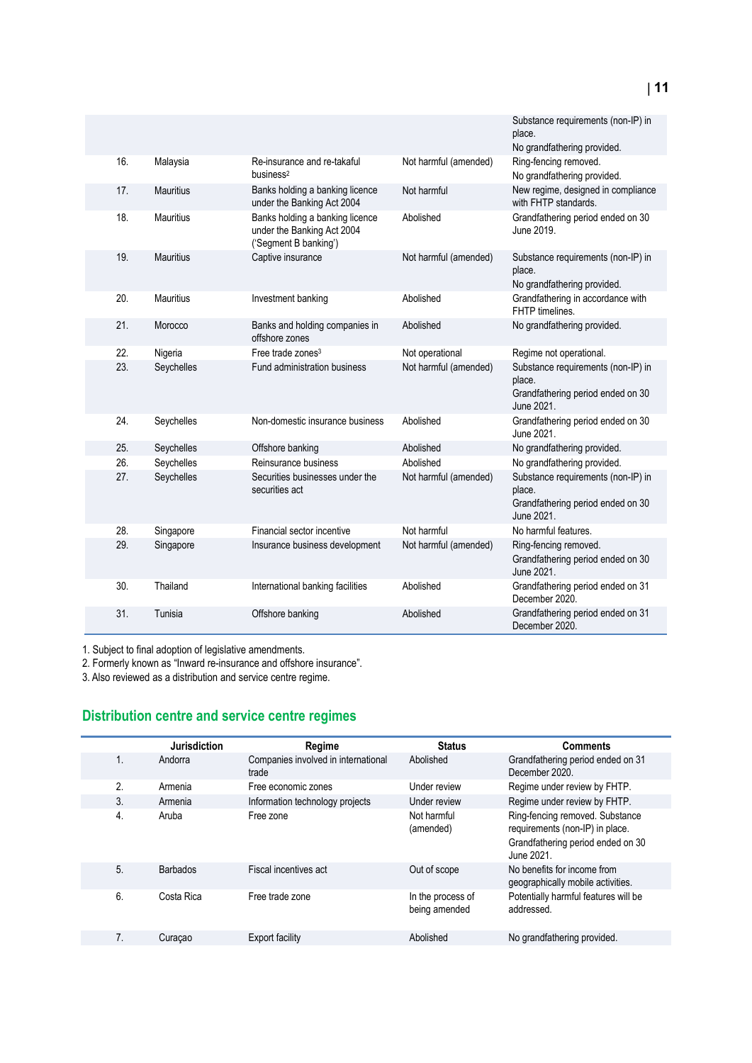|     |                  |                                                                                        |                       | Substance requirements (non-IP) in<br>place.<br>No grandfathering provided.                     |
|-----|------------------|----------------------------------------------------------------------------------------|-----------------------|-------------------------------------------------------------------------------------------------|
| 16. | Malaysia         | Re-insurance and re-takaful<br>business <sup>2</sup>                                   | Not harmful (amended) | Ring-fencing removed.<br>No grandfathering provided.                                            |
| 17. | <b>Mauritius</b> | Banks holding a banking licence<br>under the Banking Act 2004                          | Not harmful           | New regime, designed in compliance<br>with FHTP standards.                                      |
| 18. | <b>Mauritius</b> | Banks holding a banking licence<br>under the Banking Act 2004<br>('Segment B banking') | Abolished             | Grandfathering period ended on 30<br>June 2019.                                                 |
| 19. | <b>Mauritius</b> | Captive insurance                                                                      | Not harmful (amended) | Substance requirements (non-IP) in<br>place.<br>No grandfathering provided.                     |
| 20. | <b>Mauritius</b> | Investment banking                                                                     | Abolished             | Grandfathering in accordance with<br>FHTP timelines.                                            |
| 21. | Morocco          | Banks and holding companies in<br>offshore zones                                       | Abolished             | No grandfathering provided.                                                                     |
| 22. | Nigeria          | Free trade zones <sup>3</sup>                                                          | Not operational       | Regime not operational.                                                                         |
| 23. | Seychelles       | Fund administration business                                                           | Not harmful (amended) | Substance requirements (non-IP) in<br>place.<br>Grandfathering period ended on 30<br>June 2021. |
| 24. | Seychelles       | Non-domestic insurance business                                                        | Abolished             | Grandfathering period ended on 30<br>June 2021.                                                 |
| 25. | Seychelles       | Offshore banking                                                                       | Abolished             | No grandfathering provided.                                                                     |
| 26. | Seychelles       | Reinsurance business                                                                   | Abolished             | No grandfathering provided.                                                                     |
| 27. | Seychelles       | Securities businesses under the<br>securities act                                      | Not harmful (amended) | Substance requirements (non-IP) in<br>place.<br>Grandfathering period ended on 30<br>June 2021. |
| 28. | Singapore        | Financial sector incentive                                                             | Not harmful           | No harmful features.                                                                            |
| 29. | Singapore        | Insurance business development                                                         | Not harmful (amended) | Ring-fencing removed.<br>Grandfathering period ended on 30<br>June 2021.                        |
| 30. | Thailand         | International banking facilities                                                       | Abolished             | Grandfathering period ended on 31<br>December 2020.                                             |
| 31. | Tunisia          | Offshore banking                                                                       | Abolished             | Grandfathering period ended on 31<br>December 2020.                                             |

1. Subject to final adoption of legislative amendments.

2. Formerly known as "Inward re-insurance and offshore insurance".

3. Also reviewed as a distribution and service centre regime.

# **Distribution centre and service centre regimes**

|                  | Jurisdiction    | Regime                                       | <b>Status</b>                      | <b>Comments</b>                                                                                                       |
|------------------|-----------------|----------------------------------------------|------------------------------------|-----------------------------------------------------------------------------------------------------------------------|
| 1.               | Andorra         | Companies involved in international<br>trade | Abolished                          | Grandfathering period ended on 31<br>December 2020.                                                                   |
| 2.               | Armenia         | Free economic zones                          | Under review                       | Regime under review by FHTP.                                                                                          |
| 3.               | Armenia         | Information technology projects              | Under review                       | Regime under review by FHTP.                                                                                          |
| $\overline{4}$ . | Aruba           | Free zone                                    | Not harmful<br>(amended)           | Ring-fencing removed. Substance<br>requirements (non-IP) in place.<br>Grandfathering period ended on 30<br>June 2021. |
| 5.               | <b>Barbados</b> | Fiscal incentives act                        | Out of scope                       | No benefits for income from<br>geographically mobile activities.                                                      |
| 6.               | Costa Rica      | Free trade zone                              | In the process of<br>being amended | Potentially harmful features will be<br>addressed.                                                                    |
| 7 <sub>1</sub>   | Curaçao         | <b>Export facility</b>                       | Abolished                          | No grandfathering provided.                                                                                           |
|                  |                 |                                              |                                    |                                                                                                                       |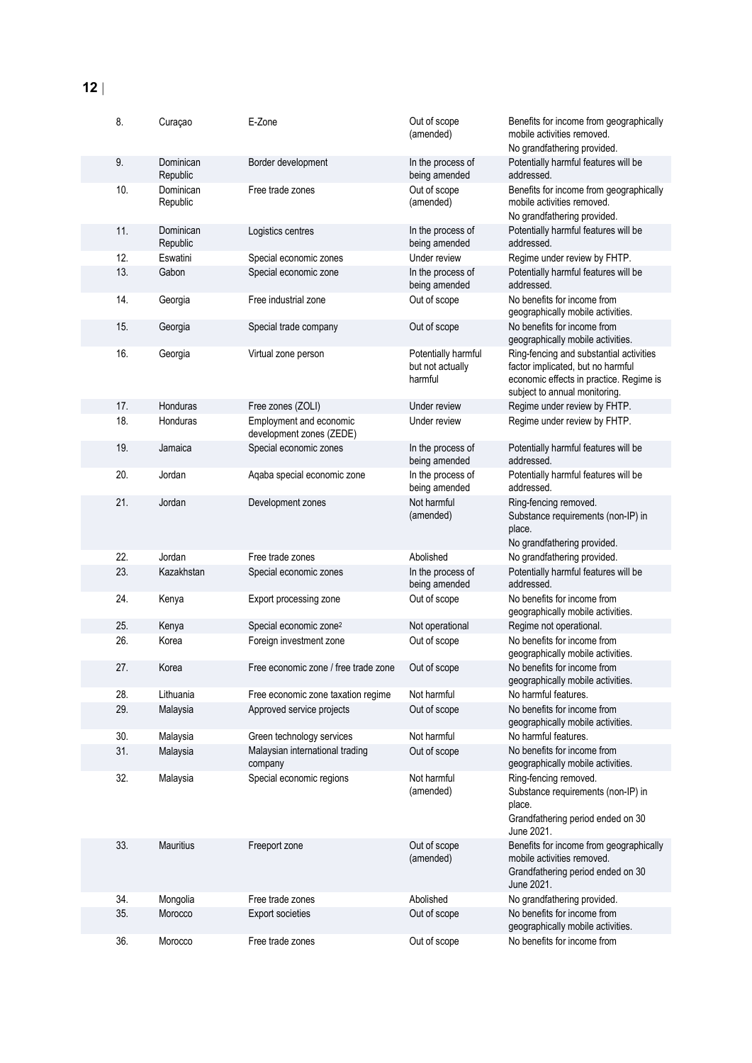| 8.  | Curaçao               | E-Zone                                              | Out of scope<br>(amended)                          | Benefits for income from geographically<br>mobile activities removed.<br>No grandfathering provided.                                                     |
|-----|-----------------------|-----------------------------------------------------|----------------------------------------------------|----------------------------------------------------------------------------------------------------------------------------------------------------------|
| 9.  | Dominican<br>Republic | Border development                                  | In the process of<br>being amended                 | Potentially harmful features will be<br>addressed.                                                                                                       |
| 10. | Dominican<br>Republic | Free trade zones                                    | Out of scope<br>(amended)                          | Benefits for income from geographically<br>mobile activities removed.<br>No grandfathering provided.                                                     |
| 11. | Dominican<br>Republic | Logistics centres                                   | In the process of<br>being amended                 | Potentially harmful features will be<br>addressed.                                                                                                       |
| 12. | Eswatini              | Special economic zones                              | Under review                                       | Regime under review by FHTP.                                                                                                                             |
| 13. | Gabon                 | Special economic zone                               | In the process of<br>being amended                 | Potentially harmful features will be<br>addressed.                                                                                                       |
| 14. | Georgia               | Free industrial zone                                | Out of scope                                       | No benefits for income from<br>geographically mobile activities.                                                                                         |
| 15. | Georgia               | Special trade company                               | Out of scope                                       | No benefits for income from<br>geographically mobile activities.                                                                                         |
| 16. | Georgia               | Virtual zone person                                 | Potentially harmful<br>but not actually<br>harmful | Ring-fencing and substantial activities<br>factor implicated, but no harmful<br>economic effects in practice. Regime is<br>subject to annual monitoring. |
| 17. | Honduras              | Free zones (ZOLI)                                   | Under review                                       | Regime under review by FHTP.                                                                                                                             |
| 18. | Honduras              | Employment and economic<br>development zones (ZEDE) | Under review                                       | Regime under review by FHTP.                                                                                                                             |
| 19. | Jamaica               | Special economic zones                              | In the process of<br>being amended                 | Potentially harmful features will be<br>addressed.                                                                                                       |
| 20. | Jordan                | Aqaba special economic zone                         | In the process of<br>being amended                 | Potentially harmful features will be<br>addressed.                                                                                                       |
| 21. | Jordan                | Development zones                                   | Not harmful<br>(amended)                           | Ring-fencing removed.<br>Substance requirements (non-IP) in<br>place.<br>No grandfathering provided.                                                     |
| 22. | Jordan                | Free trade zones                                    | Abolished                                          | No grandfathering provided.                                                                                                                              |
| 23. | Kazakhstan            | Special economic zones                              | In the process of<br>being amended                 | Potentially harmful features will be<br>addressed.                                                                                                       |
| 24. | Kenya                 | Export processing zone                              | Out of scope                                       | No benefits for income from<br>geographically mobile activities.                                                                                         |
| 25. | Kenya                 | Special economic zone <sup>2</sup>                  | Not operational                                    | Regime not operational.                                                                                                                                  |
| 26. | Korea                 | Foreign investment zone                             | Out of scope                                       | No benefits for income from<br>geographically mobile activities.                                                                                         |
| 27. | Korea                 | Free economic zone / free trade zone                | Out of scope                                       | No benefits for income from<br>geographically mobile activities.                                                                                         |
| 28. | Lithuania             | Free economic zone taxation regime                  | Not harmful                                        | No harmful features.                                                                                                                                     |
| 29. | Malaysia              | Approved service projects                           | Out of scope                                       | No benefits for income from<br>geographically mobile activities.                                                                                         |
| 30. | Malaysia              | Green technology services                           | Not harmful                                        | No harmful features.                                                                                                                                     |
| 31. | Malaysia              | Malaysian international trading<br>company          | Out of scope                                       | No benefits for income from<br>geographically mobile activities.                                                                                         |
| 32. | Malaysia              | Special economic regions                            | Not harmful<br>(amended)                           | Ring-fencing removed.<br>Substance requirements (non-IP) in<br>place.<br>Grandfathering period ended on 30<br>June 2021.                                 |
| 33. | <b>Mauritius</b>      | Freeport zone                                       | Out of scope<br>(amended)                          | Benefits for income from geographically<br>mobile activities removed.<br>Grandfathering period ended on 30<br>June 2021.                                 |
| 34. | Mongolia              | Free trade zones                                    | Abolished                                          | No grandfathering provided.                                                                                                                              |
| 35. | Morocco               | Export societies                                    | Out of scope                                       | No benefits for income from<br>geographically mobile activities.                                                                                         |
| 36. | Morocco               | Free trade zones                                    | Out of scope                                       | No benefits for income from                                                                                                                              |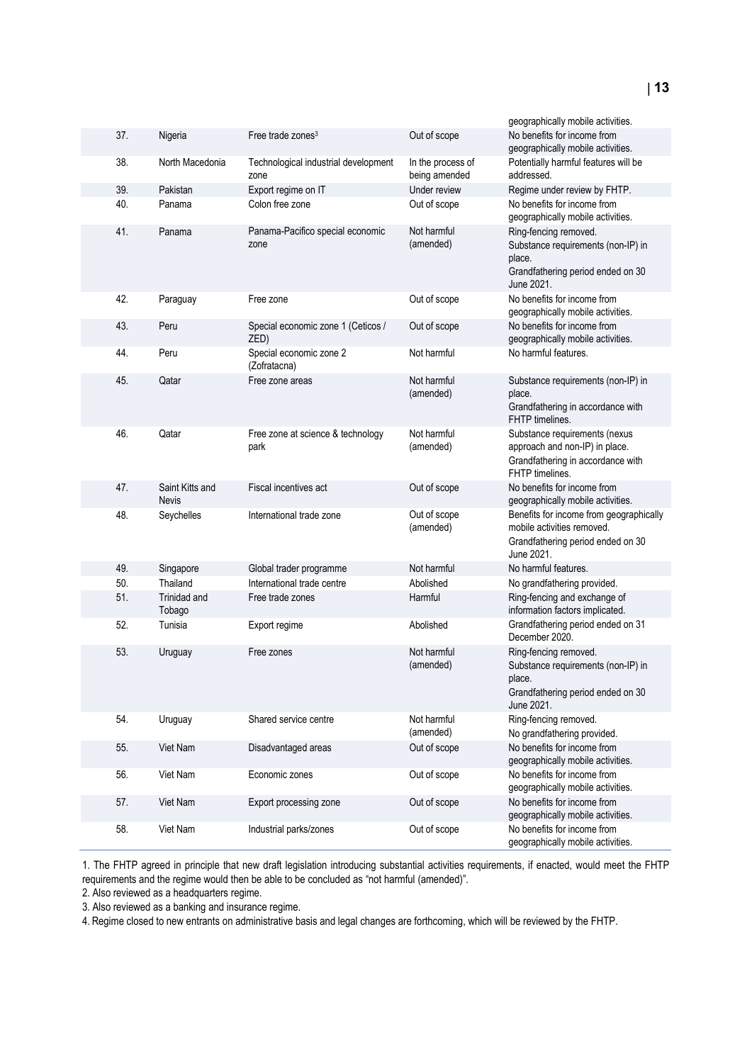|     |                                 |                                              |                                    | geographically mobile activities.                                                                                        |
|-----|---------------------------------|----------------------------------------------|------------------------------------|--------------------------------------------------------------------------------------------------------------------------|
| 37. | Nigeria                         | Free trade zones <sup>3</sup>                | Out of scope                       | No benefits for income from<br>geographically mobile activities.                                                         |
| 38. | North Macedonia                 | Technological industrial development<br>zone | In the process of<br>being amended | Potentially harmful features will be<br>addressed.                                                                       |
| 39. | Pakistan                        | Export regime on IT                          | Under review                       | Regime under review by FHTP.                                                                                             |
| 40. | Panama                          | Colon free zone                              | Out of scope                       | No benefits for income from<br>geographically mobile activities.                                                         |
| 41. | Panama                          | Panama-Pacifico special economic<br>zone     | Not harmful<br>(amended)           | Ring-fencing removed.<br>Substance requirements (non-IP) in<br>place.<br>Grandfathering period ended on 30<br>June 2021. |
| 42. | Paraguay                        | Free zone                                    | Out of scope                       | No benefits for income from<br>geographically mobile activities.                                                         |
| 43. | Peru                            | Special economic zone 1 (Ceticos /<br>ZED)   | Out of scope                       | No benefits for income from<br>geographically mobile activities.                                                         |
| 44. | Peru                            | Special economic zone 2<br>(Zofratacna)      | Not harmful                        | No harmful features.                                                                                                     |
| 45. | Qatar                           | Free zone areas                              | Not harmful<br>(amended)           | Substance requirements (non-IP) in<br>place.<br>Grandfathering in accordance with<br>FHTP timelines.                     |
| 46. | Qatar                           | Free zone at science & technology<br>park    | Not harmful<br>(amended)           | Substance requirements (nexus<br>approach and non-IP) in place.<br>Grandfathering in accordance with<br>FHTP timelines.  |
| 47. | Saint Kitts and<br><b>Nevis</b> | Fiscal incentives act                        | Out of scope                       | No benefits for income from<br>geographically mobile activities.                                                         |
| 48. | Seychelles                      | International trade zone                     | Out of scope<br>(amended)          | Benefits for income from geographically<br>mobile activities removed.<br>Grandfathering period ended on 30<br>June 2021. |
| 49. | Singapore                       | Global trader programme                      | Not harmful                        | No harmful features.                                                                                                     |
| 50. | Thailand                        | International trade centre                   | Abolished                          | No grandfathering provided.                                                                                              |
| 51. | <b>Trinidad and</b><br>Tobago   | Free trade zones                             | Harmful                            | Ring-fencing and exchange of<br>information factors implicated.                                                          |
| 52. | Tunisia                         | Export regime                                | Abolished                          | Grandfathering period ended on 31<br>December 2020.                                                                      |
| 53. | Uruguay                         | Free zones                                   | Not harmful<br>(amended)           | Ring-fencing removed.<br>Substance requirements (non-IP) in<br>place.<br>Grandfathering period ended on 30<br>June 2021. |
| 54. | Uruguay                         | Shared service centre                        | Not harmful<br>(amended)           | Ring-fencing removed.<br>No grandfathering provided.                                                                     |
| 55. | Viet Nam                        | Disadvantaged areas                          | Out of scope                       | No benefits for income from<br>geographically mobile activities.                                                         |
| 56. | Viet Nam                        | Economic zones                               | Out of scope                       | No benefits for income from<br>geographically mobile activities.                                                         |
| 57. | Viet Nam                        | Export processing zone                       | Out of scope                       | No benefits for income from<br>geographically mobile activities.                                                         |
| 58. | Viet Nam                        | Industrial parks/zones                       | Out of scope                       | No benefits for income from<br>geographically mobile activities.                                                         |

1. The FHTP agreed in principle that new draft legislation introducing substantial activities requirements, if enacted, would meet the FHTP requirements and the regime would then be able to be concluded as "not harmful (amended)".

2. Also reviewed as a headquarters regime.

3. Also reviewed as a banking and insurance regime.

4. Regime closed to new entrants on administrative basis and legal changes are forthcoming, which will be reviewed by the FHTP.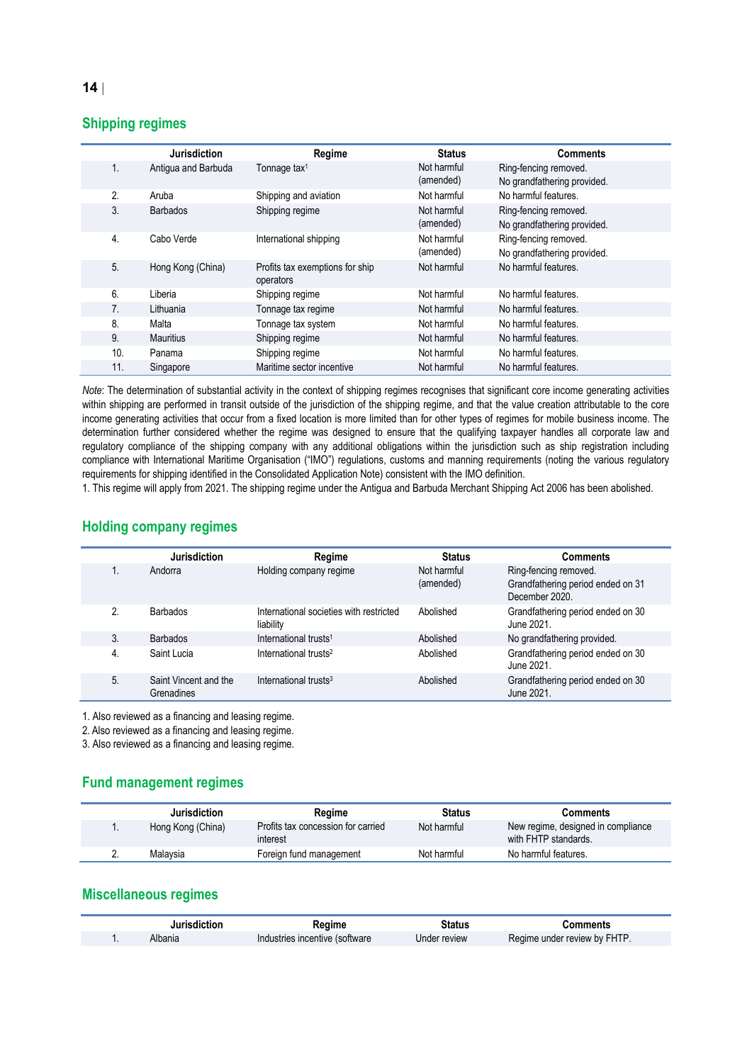### **Shipping regimes**

|                | <b>Jurisdiction</b>                | Regime                                       | <b>Status</b>            | <b>Comments</b>                                      |
|----------------|------------------------------------|----------------------------------------------|--------------------------|------------------------------------------------------|
| 1.             | Antigua and Barbuda                | Tonnage tax <sup>1</sup>                     | Not harmful<br>(amended) | Ring-fencing removed.<br>No grandfathering provided. |
| 2.             | Aruba                              | Shipping and aviation                        | Not harmful              | No harmful features.                                 |
| 3.             | Shipping regime<br><b>Barbados</b> |                                              | Not harmful<br>(amended) | Ring-fencing removed.<br>No grandfathering provided. |
| 4.             | Cabo Verde                         | International shipping                       | Not harmful<br>(amended) | Ring-fencing removed.<br>No grandfathering provided. |
| 5.             | Hong Kong (China)                  | Profits tax exemptions for ship<br>operators | Not harmful              | No harmful features.                                 |
| 6.             | Liberia                            | Shipping regime                              | Not harmful              | No harmful features.                                 |
| 7 <sub>1</sub> | Lithuania                          | Tonnage tax regime                           | Not harmful              | No harmful features.                                 |
| 8.             | Malta                              | Tonnage tax system                           | Not harmful              | No harmful features.                                 |
| 9.             | <b>Mauritius</b>                   | Shipping regime                              | Not harmful              | No harmful features.                                 |
| 10.            | Panama                             | Shipping regime                              | Not harmful              | No harmful features.                                 |
| 11.            | Singapore                          | Maritime sector incentive                    | Not harmful              | No harmful features.                                 |

*Note*: The determination of substantial activity in the context of shipping regimes recognises that significant core income generating activities within shipping are performed in transit outside of the jurisdiction of the shipping regime, and that the value creation attributable to the core income generating activities that occur from a fixed location is more limited than for other types of regimes for mobile business income. The determination further considered whether the regime was designed to ensure that the qualifying taxpayer handles all corporate law and regulatory compliance of the shipping company with any additional obligations within the jurisdiction such as ship registration including compliance with International Maritime Organisation ("IMO") regulations, customs and manning requirements (noting the various regulatory requirements for shipping identified in the Consolidated Application Note) consistent with the IMO definition.

1. This regime will apply from 2021. The shipping regime under the Antigua and Barbuda Merchant Shipping Act 2006 has been abolished.

#### **Holding company regimes**

|    | <b>Jurisdiction</b>                 | Regime                                               | <b>Status</b>            | <b>Comments</b>                                                              |
|----|-------------------------------------|------------------------------------------------------|--------------------------|------------------------------------------------------------------------------|
|    | Andorra                             | Holding company regime                               | Not harmful<br>(amended) | Ring-fencing removed.<br>Grandfathering period ended on 31<br>December 2020. |
| 2. | <b>Barbados</b>                     | International societies with restricted<br>liability | Abolished                | Grandfathering period ended on 30<br>June 2021.                              |
| 3. | <b>Barbados</b>                     | International trusts <sup>1</sup>                    | Abolished                | No grandfathering provided.                                                  |
| 4. | Saint Lucia                         | International trusts <sup>2</sup>                    | Abolished                | Grandfathering period ended on 30<br>June 2021.                              |
| 5. | Saint Vincent and the<br>Grenadines | International trusts <sup>3</sup>                    | Abolished                | Grandfathering period ended on 30<br>June 2021.                              |

1. Also reviewed as a financing and leasing regime.

2. Also reviewed as a financing and leasing regime.

3. Also reviewed as a financing and leasing regime.

#### **Fund management regimes**

|          | Jurisdiction          | Regime                                         | <b>Status</b> | Comments                                                   |
|----------|-----------------------|------------------------------------------------|---------------|------------------------------------------------------------|
|          | <br>Hong Kong (China) | Profits tax concession for carried<br>interest | Not harmful   | New regime, designed in compliance<br>with FHTP standards. |
| <u>.</u> | Malaysia              | Foreign fund management                        | Not harmful   | No harmful features.                                       |

### **Miscellaneous regimes**

| <b>Jurisdiction</b> | Reaime                         | Status       | こomments                     |
|---------------------|--------------------------------|--------------|------------------------------|
| Albania             | Industries incentive (software | Under review | Regime under review by FHTP. |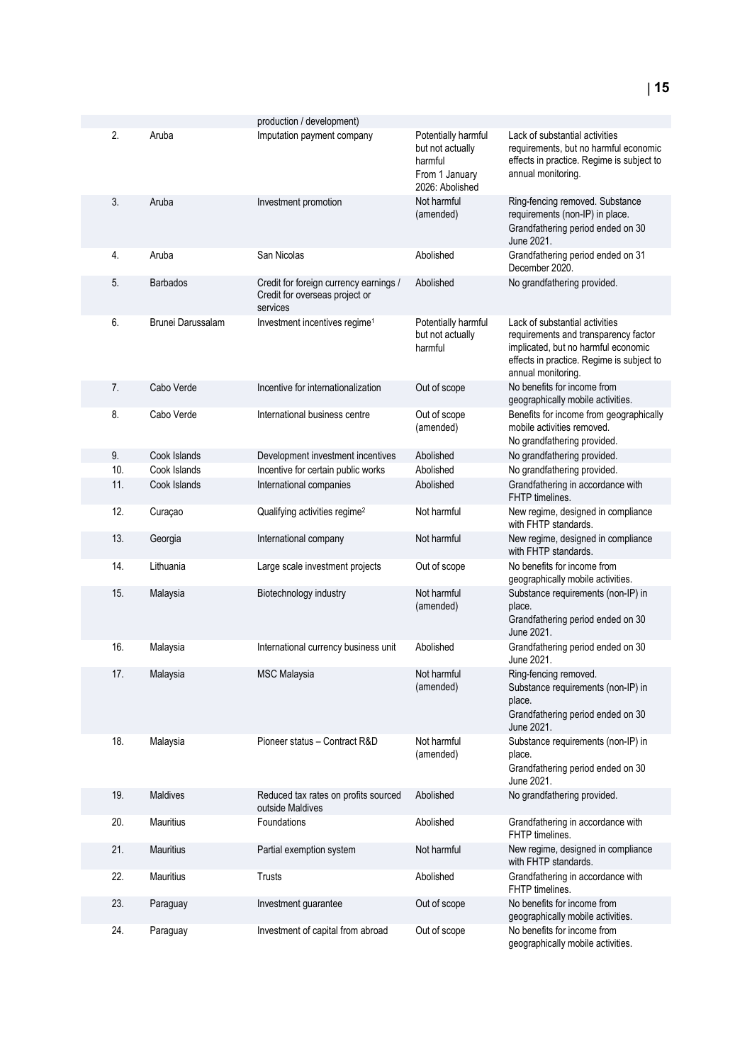| 2.  | Aruba             | production / development)<br>Imputation payment company                              | Potentially harmful<br>but not actually<br>harmful<br>From 1 January<br>2026: Abolished | Lack of substantial activities<br>requirements, but no harmful economic<br>effects in practice. Regime is subject to<br>annual monitoring.                                       |
|-----|-------------------|--------------------------------------------------------------------------------------|-----------------------------------------------------------------------------------------|----------------------------------------------------------------------------------------------------------------------------------------------------------------------------------|
| 3.  | Aruba             | Investment promotion                                                                 | Not harmful<br>(amended)                                                                | Ring-fencing removed. Substance<br>requirements (non-IP) in place.<br>Grandfathering period ended on 30<br>June 2021.                                                            |
| 4.  | Aruba             | San Nicolas                                                                          | Abolished                                                                               | Grandfathering period ended on 31<br>December 2020.                                                                                                                              |
| 5.  | <b>Barbados</b>   | Credit for foreign currency earnings /<br>Credit for overseas project or<br>services | Abolished                                                                               | No grandfathering provided.                                                                                                                                                      |
| 6.  | Brunei Darussalam | Investment incentives regime <sup>1</sup>                                            | Potentially harmful<br>but not actually<br>harmful                                      | Lack of substantial activities<br>requirements and transparency factor<br>implicated, but no harmful economic<br>effects in practice. Regime is subject to<br>annual monitoring. |
| 7.  | Cabo Verde        | Incentive for internationalization                                                   | Out of scope                                                                            | No benefits for income from<br>geographically mobile activities.                                                                                                                 |
| 8.  | Cabo Verde        | International business centre                                                        | Out of scope<br>(amended)                                                               | Benefits for income from geographically<br>mobile activities removed.<br>No grandfathering provided.                                                                             |
| 9.  | Cook Islands      | Development investment incentives                                                    | Abolished                                                                               | No grandfathering provided.                                                                                                                                                      |
| 10. | Cook Islands      | Incentive for certain public works                                                   | Abolished                                                                               | No grandfathering provided.                                                                                                                                                      |
| 11. | Cook Islands      | International companies                                                              | Abolished                                                                               | Grandfathering in accordance with<br>FHTP timelines.                                                                                                                             |
| 12. | Curaçao           | Qualifying activities regime <sup>2</sup>                                            | Not harmful                                                                             | New regime, designed in compliance<br>with FHTP standards.                                                                                                                       |
| 13. | Georgia           | International company                                                                | Not harmful                                                                             | New regime, designed in compliance<br>with FHTP standards.                                                                                                                       |
| 14. | Lithuania         | Large scale investment projects                                                      | Out of scope                                                                            | No benefits for income from<br>geographically mobile activities.                                                                                                                 |
| 15. | Malaysia          | Biotechnology industry                                                               | Not harmful<br>(amended)                                                                | Substance requirements (non-IP) in<br>place.<br>Grandfathering period ended on 30<br>June 2021.                                                                                  |
| 16. | Malaysia          | International currency business unit                                                 | Abolished                                                                               | Grandfathering period ended on 30<br>June 2021.                                                                                                                                  |
| 17. | Malaysia          | <b>MSC Malaysia</b>                                                                  | Not harmful<br>(amended)                                                                | Ring-fencing removed.<br>Substance requirements (non-IP) in<br>place.<br>Grandfathering period ended on 30<br>June 2021.                                                         |
| 18. | Malaysia          | Pioneer status - Contract R&D                                                        | Not harmful<br>(amended)                                                                | Substance requirements (non-IP) in<br>place.<br>Grandfathering period ended on 30<br>June 2021.                                                                                  |
| 19. | Maldives          | Reduced tax rates on profits sourced<br>outside Maldives                             | Abolished                                                                               | No grandfathering provided.                                                                                                                                                      |
| 20. | <b>Mauritius</b>  | Foundations                                                                          | Abolished                                                                               | Grandfathering in accordance with<br>FHTP timelines.                                                                                                                             |
| 21. | <b>Mauritius</b>  | Partial exemption system                                                             | Not harmful                                                                             | New regime, designed in compliance<br>with FHTP standards.                                                                                                                       |
| 22. | Mauritius         | Trusts                                                                               | Abolished                                                                               | Grandfathering in accordance with<br>FHTP timelines.                                                                                                                             |
| 23. | Paraguay          | Investment guarantee                                                                 | Out of scope                                                                            | No benefits for income from<br>geographically mobile activities.                                                                                                                 |
| 24. | Paraguay          | Investment of capital from abroad                                                    | Out of scope                                                                            | No benefits for income from<br>geographically mobile activities.                                                                                                                 |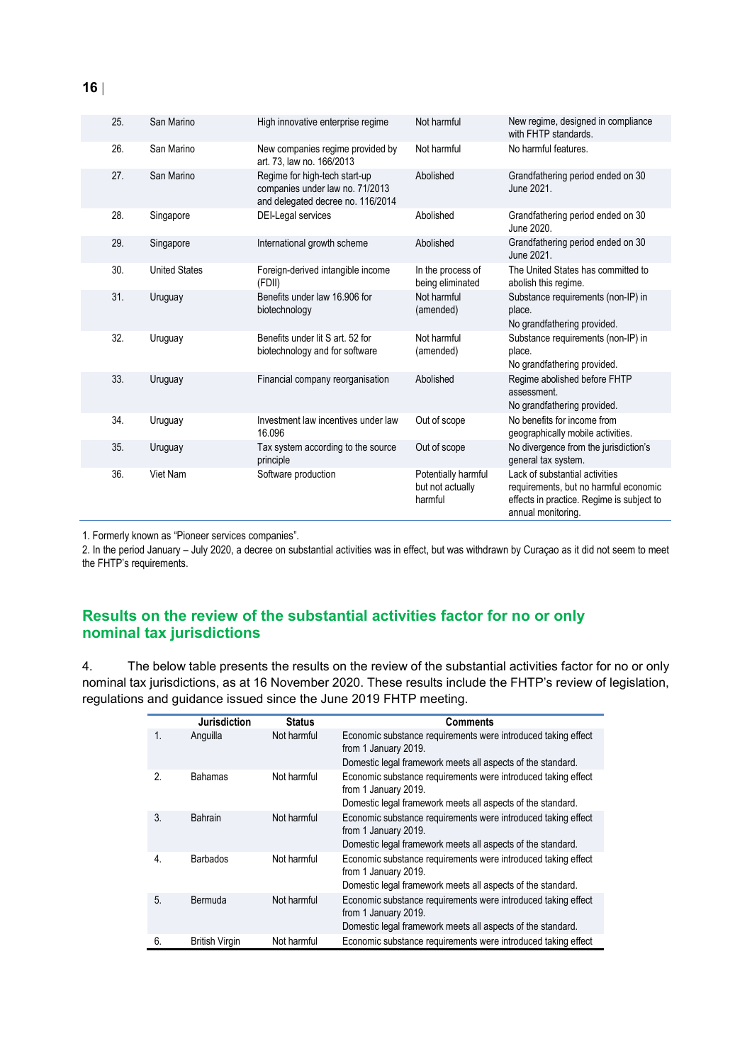| 25.                                                | San Marino           | High innovative enterprise regime                                                                     | Not harmful                                                                | New regime, designed in compliance<br>with FHTP standards.                                                                                 |
|----------------------------------------------------|----------------------|-------------------------------------------------------------------------------------------------------|----------------------------------------------------------------------------|--------------------------------------------------------------------------------------------------------------------------------------------|
| 26.                                                | San Marino           | New companies regime provided by<br>art. 73. law no. 166/2013                                         | Not harmful                                                                | No harmful features.                                                                                                                       |
| 27.                                                | San Marino           | Regime for high-tech start-up<br>companies under law no. 71/2013<br>and delegated decree no. 116/2014 | Abolished                                                                  | Grandfathering period ended on 30<br>June 2021.                                                                                            |
| 28.                                                | Singapore            | DEI-Legal services                                                                                    | Abolished                                                                  | Grandfathering period ended on 30<br>June 2020.                                                                                            |
| 29.                                                | Singapore            | International growth scheme                                                                           | Abolished                                                                  | Grandfathering period ended on 30<br>June 2021.                                                                                            |
| 30.                                                | <b>United States</b> | Foreign-derived intangible income<br>(FDII)                                                           | In the process of<br>being eliminated                                      | The United States has committed to<br>abolish this regime.                                                                                 |
| 31.<br>Uruguay<br>biotechnology                    |                      | Benefits under law 16,906 for                                                                         | Not harmful<br>(amended)                                                   | Substance requirements (non-IP) in<br>place.<br>No grandfathering provided.                                                                |
| 32.                                                | Uruguay              | Benefits under lit S art, 52 for<br>biotechnology and for software                                    | Not harmful<br>(amended)                                                   | Substance requirements (non-IP) in<br>place.<br>No grandfathering provided.                                                                |
| 33.<br>Financial company reorganisation<br>Uruguay |                      | Abolished                                                                                             | Regime abolished before FHTP<br>assessment.<br>No grandfathering provided. |                                                                                                                                            |
| 34.                                                | Uruguay              | Investment law incentives under law<br>16.096                                                         | Out of scope                                                               | No benefits for income from<br>geographically mobile activities.                                                                           |
| 35.                                                | Uruguay              | Tax system according to the source<br>principle                                                       | Out of scope                                                               | No divergence from the jurisdiction's<br>general tax system.                                                                               |
| 36.                                                | Viet Nam             | Software production                                                                                   | Potentially harmful<br>but not actually<br>harmful                         | Lack of substantial activities<br>requirements, but no harmful economic<br>effects in practice. Regime is subject to<br>annual monitoring. |

1. Formerly known as "Pioneer services companies".

2. In the period January – July 2020, a decree on substantial activities was in effect, but was withdrawn by Curaçao as it did not seem to meet the FHTP's requirements.

### **Results on the review of the substantial activities factor for no or only nominal tax jurisdictions**

4. The below table presents the results on the review of the substantial activities factor for no or only nominal tax jurisdictions, as at 16 November 2020. These results include the FHTP's review of legislation, regulations and guidance issued since the June 2019 FHTP meeting.

|    | <b>Jurisdiction</b>   | <b>Status</b> | <b>Comments</b>                                                                       |
|----|-----------------------|---------------|---------------------------------------------------------------------------------------|
| 1. | Anguilla              | Not harmful   | Economic substance requirements were introduced taking effect<br>from 1 January 2019. |
|    |                       |               | Domestic legal framework meets all aspects of the standard.                           |
| 2. | <b>Bahamas</b>        | Not harmful   | Economic substance requirements were introduced taking effect<br>from 1 January 2019. |
|    |                       |               | Domestic legal framework meets all aspects of the standard.                           |
| 3. | Bahrain               | Not harmful   | Economic substance requirements were introduced taking effect<br>from 1 January 2019. |
|    |                       |               | Domestic legal framework meets all aspects of the standard.                           |
| 4. | <b>Barbados</b>       | Not harmful   | Economic substance requirements were introduced taking effect<br>from 1 January 2019. |
|    |                       |               | Domestic legal framework meets all aspects of the standard.                           |
| 5. | Bermuda               | Not harmful   | Economic substance requirements were introduced taking effect<br>from 1 January 2019. |
|    |                       |               | Domestic legal framework meets all aspects of the standard.                           |
| 6. | <b>British Virgin</b> | Not harmful   | Economic substance requirements were introduced taking effect                         |